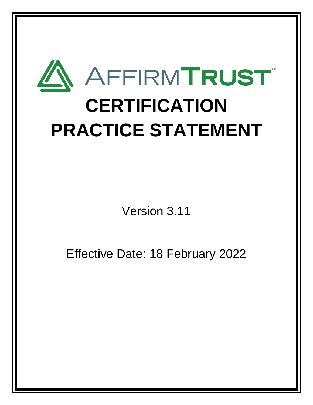

Version 3.11

Effective Date: 18 February 2022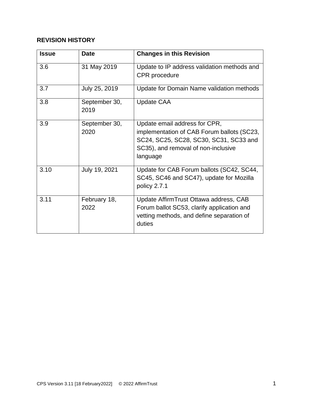# **REVISION HISTORY**

| <b>Issue</b> | <b>Date</b>           | <b>Changes in this Revision</b>                                                                                                                                          |
|--------------|-----------------------|--------------------------------------------------------------------------------------------------------------------------------------------------------------------------|
| 3.6          | 31 May 2019           | Update to IP address validation methods and<br><b>CPR</b> procedure                                                                                                      |
| 3.7          | July 25, 2019         | Update for Domain Name validation methods                                                                                                                                |
| 3.8          | September 30,<br>2019 | <b>Update CAA</b>                                                                                                                                                        |
| 3.9          | September 30,<br>2020 | Update email address for CPR,<br>implementation of CAB Forum ballots (SC23,<br>SC24, SC25, SC28, SC30, SC31, SC33 and<br>SC35), and removal of non-inclusive<br>language |
| 3.10         | July 19, 2021         | Update for CAB Forum ballots (SC42, SC44,<br>SC45, SC46 and SC47), update for Mozilla<br>policy 2.7.1                                                                    |
| 3.11         | February 18,<br>2022  | Update Affirm Trust Ottawa address, CAB<br>Forum ballot SC53, clarify application and<br>vetting methods, and define separation of<br>duties                             |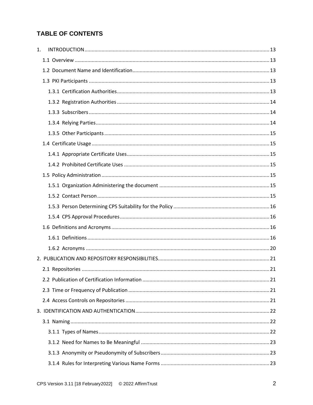# **TABLE OF CONTENTS**

| 1. |  |
|----|--|
|    |  |
|    |  |
|    |  |
|    |  |
|    |  |
|    |  |
|    |  |
|    |  |
|    |  |
|    |  |
|    |  |
|    |  |
|    |  |
|    |  |
|    |  |
|    |  |
|    |  |
|    |  |
|    |  |
|    |  |
|    |  |
|    |  |
|    |  |
|    |  |
|    |  |
|    |  |
|    |  |
|    |  |
|    |  |
|    |  |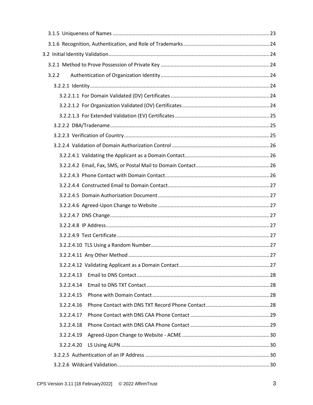| 3.2.2      |  |
|------------|--|
|            |  |
|            |  |
|            |  |
|            |  |
|            |  |
|            |  |
|            |  |
|            |  |
|            |  |
|            |  |
|            |  |
|            |  |
|            |  |
|            |  |
|            |  |
|            |  |
|            |  |
|            |  |
|            |  |
| 3.2.2.4.13 |  |
| 3.2.2.4.14 |  |
| 3.2.2.4.15 |  |
| 3.2.2.4.16 |  |
| 3.2.2.4.17 |  |
| 3.2.2.4.18 |  |
| 3.2.2.4.19 |  |
| 3.2.2.4.20 |  |
|            |  |
|            |  |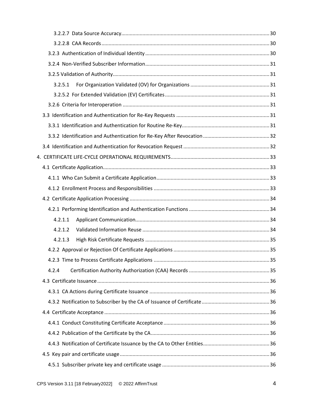| 3.2.5.1 |  |
|---------|--|
|         |  |
|         |  |
|         |  |
|         |  |
|         |  |
|         |  |
|         |  |
|         |  |
|         |  |
|         |  |
|         |  |
|         |  |
| 4.2.1.1 |  |
| 4.2.1.2 |  |
| 4.2.1.3 |  |
|         |  |
|         |  |
| 4.2.4   |  |
|         |  |
|         |  |
|         |  |
|         |  |
|         |  |
|         |  |
|         |  |
|         |  |
|         |  |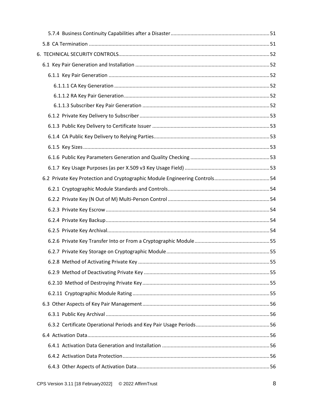| 6.2 Private Key Protection and Cryptographic Module Engineering Controls54 |  |
|----------------------------------------------------------------------------|--|
|                                                                            |  |
|                                                                            |  |
|                                                                            |  |
|                                                                            |  |
|                                                                            |  |
|                                                                            |  |
|                                                                            |  |
|                                                                            |  |
|                                                                            |  |
|                                                                            |  |
|                                                                            |  |
|                                                                            |  |
|                                                                            |  |
|                                                                            |  |
|                                                                            |  |
|                                                                            |  |
|                                                                            |  |
|                                                                            |  |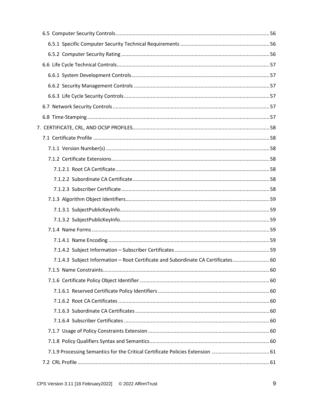| 7.1.4.3 Subject Information - Root Certificate and Subordinate CA Certificates 60 |  |
|-----------------------------------------------------------------------------------|--|
|                                                                                   |  |
|                                                                                   |  |
|                                                                                   |  |
|                                                                                   |  |
|                                                                                   |  |
|                                                                                   |  |
|                                                                                   |  |
|                                                                                   |  |
|                                                                                   |  |
|                                                                                   |  |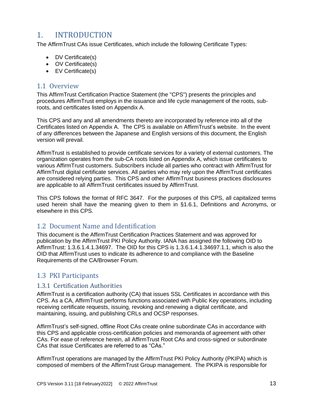# <span id="page-13-0"></span>1. INTRODUCTION

The AffirmTrust CAs issue Certificates, which include the following Certificate Types:

- DV Certificate(s)
- OV Certificate(s)
- EV Certificate(s)

# <span id="page-13-1"></span>1.1 Overview

This AffirmTrust Certification Practice Statement (the "CPS") presents the principles and procedures AffirmTrust employs in the issuance and life cycle management of the roots, subroots, and certificates listed on Appendix A.

This CPS and any and all amendments thereto are incorporated by reference into all of the Certificates listed on Appendix A. The CPS is available on AffirmTrust's website. In the event of any differences between the Japanese and English versions of this document, the English version will prevail.

AffirmTrust is established to provide certificate services for a variety of external customers. The organization operates from the sub-CA roots listed on Appendix A, which issue certificates to various AffirmTrust customers. Subscribers include all parties who contract with AffirmTrust for AffirmTrust digital certificate services. All parties who may rely upon the AffirmTrust certificates are considered relying parties. This CPS and other AffirmTrust business practices disclosures are applicable to all AffirmTrust certificates issued by AffirmTrust.

This CPS follows the format of RFC 3647. For the purposes of this CPS, all capitalized terms used herein shall have the meaning given to them in §1.6.1, Definitions and Acronyms, or elsewhere in this CPS.

# <span id="page-13-2"></span>1.2 Document Name and Identification

This document is the AffirmTrust Certification Practices Statement and was approved for publication by the AffirmTrust PKI Policy Authority. IANA has assigned the following OID to AffirmTrust: 1.3.6.1.4.1.34697. The OID for this CPS is 1.3.6.1.4.1.34697.1.1, which is also the OID that AffirmTrust uses to indicate its adherence to and compliance with the Baseline Requirements of the CA/Browser Forum.

# <span id="page-13-3"></span>1.3 PKI Participants

## <span id="page-13-4"></span>1.3.1 Certification Authorities

AffirmTrust is a certification authority (CA) that issues SSL Certificates in accordance with this CPS. As a CA, AffirmTrust performs functions associated with Public Key operations, including receiving certificate requests, issuing, revoking and renewing a digital certificate, and maintaining, issuing, and publishing CRLs and OCSP responses.

AffirmTrust's self-signed, offline Root CAs create online subordinate CAs in accordance with this CPS and applicable cross-certification policies and memoranda of agreement with other CAs. For ease of reference herein, all AffirmTrust Root CAs and cross-signed or subordinate CAs that issue Certificates are referred to as "CAs."

AffirmTrust operations are managed by the AffirmTrust PKI Policy Authority (PKIPA) which is composed of members of the AffirmTrust Group management. The PKIPA is responsible for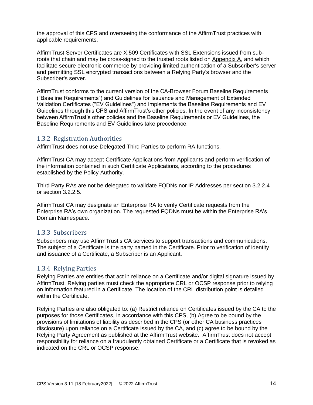the approval of this CPS and overseeing the conformance of the AffirmTrust practices with applicable requirements.

AffirmTrust Server Certificates are X.509 Certificates with SSL Extensions issued from subroots that chain and may be cross-signed to the trusted roots listed on Appendix A, and which facilitate secure electronic commerce by providing limited authentication of a Subscriber's server and permitting SSL encrypted transactions between a Relying Party's browser and the Subscriber's server.

AffirmTrust conforms to the current version of the CA-Browser Forum Baseline Requirements ("Baseline Requirements") and Guidelines for Issuance and Management of Extended Validation Certificates ("EV Guidelines") and implements the Baseline Requirements and EV Guidelines through this CPS and AffirmTrust's other policies. In the event of any inconsistency between AffirmTrust's other policies and the Baseline Requirements or EV Guidelines, the Baseline Requirements and EV Guidelines take precedence.

## <span id="page-14-0"></span>1.3.2 Registration Authorities

AffirmTrust does not use Delegated Third Parties to perform RA functions.

AffirmTrust CA may accept Certificate Applications from Applicants and perform verification of the information contained in such Certificate Applications, according to the procedures established by the Policy Authority.

Third Party RAs are not be delegated to validate FQDNs nor IP Addresses per section 3.2.2.4 or section 3.2.2.5.

AffirmTrust CA may designate an Enterprise RA to verify Certificate requests from the Enterprise RA's own organization. The requested FQDNs must be within the Enterprise RA's Domain Namespace.

#### <span id="page-14-1"></span>1.3.3 Subscribers

Subscribers may use AffirmTrust's CA services to support transactions and communications. The subject of a Certificate is the party named in the Certificate. Prior to verification of identity and issuance of a Certificate, a Subscriber is an Applicant.

#### <span id="page-14-2"></span>1.3.4 Relying Parties

Relying Parties are entities that act in reliance on a Certificate and/or digital signature issued by AffirmTrust. Relying parties must check the appropriate CRL or OCSP response prior to relying on information featured in a Certificate. The location of the CRL distribution point is detailed within the Certificate.

Relying Parties are also obligated to: (a) Restrict reliance on Certificates issued by the CA to the purposes for those Certificates, in accordance with this CPS, (b) Agree to be bound by the provisions of limitations of liability as described in the CPS (or other CA business practices disclosure) upon reliance on a Certificate issued by the CA, and (c) agree to be bound by the Relying Party Agreement as published at the AffirmTrust website. AffirmTrust does not accept responsibility for reliance on a fraudulently obtained Certificate or a Certificate that is revoked as indicated on the CRL or OCSP response.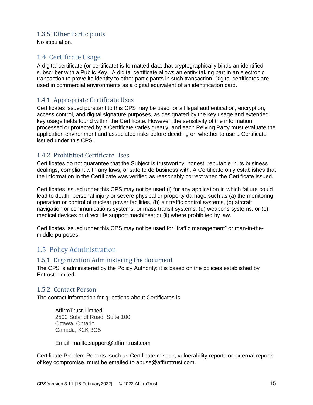# <span id="page-15-0"></span>1.3.5 Other Participants

No stipulation.

# <span id="page-15-1"></span>1.4 Certificate Usage

A digital certificate (or certificate) is formatted data that cryptographically binds an identified subscriber with a Public Key. A digital certificate allows an entity taking part in an electronic transaction to prove its identity to other participants in such transaction. Digital certificates are used in commercial environments as a digital equivalent of an identification card.

# <span id="page-15-2"></span>1.4.1 Appropriate Certificate Uses

Certificates issued pursuant to this CPS may be used for all legal authentication, encryption, access control, and digital signature purposes, as designated by the key usage and extended key usage fields found within the Certificate. However, the sensitivity of the information processed or protected by a Certificate varies greatly, and each Relying Party must evaluate the application environment and associated risks before deciding on whether to use a Certificate issued under this CPS.

# <span id="page-15-3"></span>1.4.2 Prohibited Certificate Uses

Certificates do not guarantee that the Subject is trustworthy, honest, reputable in its business dealings, compliant with any laws, or safe to do business with. A Certificate only establishes that the information in the Certificate was verified as reasonably correct when the Certificate issued.

Certificates issued under this CPS may not be used (i) for any application in which failure could lead to death, personal injury or severe physical or property damage such as (a) the monitoring, operation or control of nuclear power facilities, (b) air traffic control systems, (c) aircraft navigation or communications systems, or mass transit systems, (d) weapons systems, or (e) medical devices or direct life support machines; or (ii) where prohibited by law.

Certificates issued under this CPS may not be used for "traffic management" or man-in-themiddle purposes.

# <span id="page-15-4"></span>1.5 Policy Administration

## <span id="page-15-5"></span>1.5.1 Organization Administering the document

The CPS is administered by the Policy Authority; it is based on the policies established by Entrust Limited.

## <span id="page-15-6"></span>1.5.2 Contact Person

The contact information for questions about Certificates is:

AffirmTrust Limited 2500 Solandt Road, Suite 100 Ottawa, Ontario Canada, K2K 3G5

Email: mailto:support@affirmtrust.com

Certificate Problem Reports, such as Certificate misuse, vulnerability reports or external reports of key compromise, must be emailed to [abuse@affirmtrust.com.](mailto:abuse@affirmtrust.com)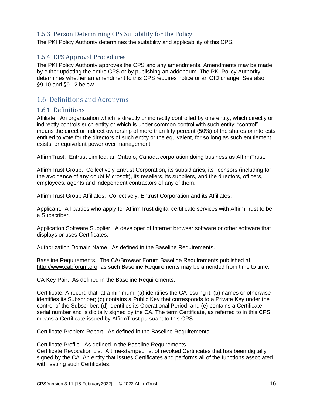# <span id="page-16-0"></span>1.5.3 Person Determining CPS Suitability for the Policy

The PKI Policy Authority determines the suitability and applicability of this CPS.

## <span id="page-16-1"></span>1.5.4 CPS Approval Procedures

The PKI Policy Authority approves the CPS and any amendments. Amendments may be made by either updating the entire CPS or by publishing an addendum. The PKI Policy Authority determines whether an amendment to this CPS requires notice or an OID change. See also §9.10 and §9.12 below.

# <span id="page-16-2"></span>1.6 Definitions and Acronyms

#### <span id="page-16-3"></span>1.6.1 Definitions

Affiliate. An organization which is directly or indirectly controlled by one entity, which directly or indirectly controls such entity or which is under common control with such entity; "control" means the direct or indirect ownership of more than fifty percent (50%) of the shares or interests entitled to vote for the directors of such entity or the equivalent, for so long as such entitlement exists, or equivalent power over management.

AffirmTrust. Entrust Limited, an Ontario, Canada corporation doing business as AffirmTrust.

AffirmTrust Group. Collectively Entrust Corporation, its subsidiaries, its licensors (including for the avoidance of any doubt Microsoft), its resellers, its suppliers, and the directors, officers, employees, agents and independent contractors of any of them.

AffirmTrust Group Affiliates. Collectively, Entrust Corporation and its Affiliates.

Applicant. All parties who apply for AffirmTrust digital certificate services with AffirmTrust to be a Subscriber.

Application Software Supplier. A developer of Internet browser software or other software that displays or uses Certificates.

Authorization Domain Name. As defined in the Baseline Requirements.

Baseline Requirements. The CA/Browser Forum Baseline Requirements published at [http://www.cabforum.org,](http://www.cabforum.org/) as such Baseline Requirements may be amended from time to time.

CA Key Pair. As defined in the Baseline Requirements.

Certificate. A record that, at a minimum: (a) identifies the CA issuing it; (b) names or otherwise identifies its Subscriber; (c) contains a Public Key that corresponds to a Private Key under the control of the Subscriber; (d) identifies its Operational Period; and (e) contains a Certificate serial number and is digitally signed by the CA. The term Certificate, as referred to in this CPS, means a Certificate issued by AffirmTrust pursuant to this CPS.

Certificate Problem Report. As defined in the Baseline Requirements.

Certificate Profile. As defined in the Baseline Requirements.

Certificate Revocation List. A time-stamped list of revoked Certificates that has been digitally signed by the CA. An entity that issues Certificates and performs all of the functions associated with issuing such Certificates.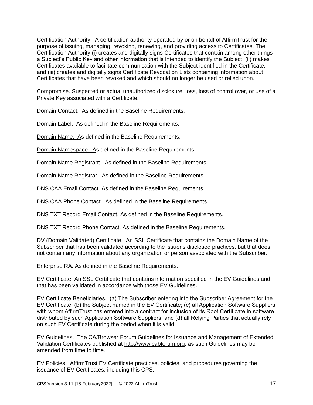Certification Authority. A certification authority operated by or on behalf of AffirmTrust for the purpose of issuing, managing, revoking, renewing, and providing access to Certificates. The Certification Authority (i) creates and digitally signs Certificates that contain among other things a Subject's Public Key and other information that is intended to identify the Subject, (ii) makes Certificates available to facilitate communication with the Subject identified in the Certificate, and (iii) creates and digitally signs Certificate Revocation Lists containing information about Certificates that have been revoked and which should no longer be used or relied upon.

Compromise. Suspected or actual unauthorized disclosure, loss, loss of control over, or use of a Private Key associated with a Certificate.

Domain Contact. As defined in the Baseline Requirements.

Domain Label. As defined in the Baseline Requirements.

Domain Name. As defined in the Baseline Requirements.

Domain Namespace. As defined in the Baseline Requirements.

Domain Name Registrant. As defined in the Baseline Requirements.

Domain Name Registrar. As defined in the Baseline Requirements.

DNS CAA Email Contact. As defined in the Baseline Requirements.

DNS CAA Phone Contact. As defined in the Baseline Requirements.

DNS TXT Record Email Contact. As defined in the Baseline Requirements.

DNS TXT Record Phone Contact. As defined in the Baseline Requirements.

DV (Domain Validated) Certificate. An SSL Certificate that contains the Domain Name of the Subscriber that has been validated according to the issuer's disclosed practices, but that does not contain any information about any organization or person associated with the Subscriber.

Enterprise RA. As defined in the Baseline Requirements.

EV Certificate. An SSL Certificate that contains information specified in the EV Guidelines and that has been validated in accordance with those EV Guidelines.

EV Certificate Beneficiaries. (a) The Subscriber entering into the Subscriber Agreement for the EV Certificate; (b) the Subject named in the EV Certificate; (c) all Application Software Suppliers with whom AffirmTrust has entered into a contract for inclusion of its Root Certificate in software distributed by such Application Software Suppliers; and (d) all Relying Parties that actually rely on such EV Certificate during the period when it is valid.

EV Guidelines. The CA/Browser Forum Guidelines for Issuance and Management of Extended Validation Certificates published at [http://www.cabforum.org,](http://www.cabforum.org/) as such Guidelines may be amended from time to time.

EV Policies. AffirmTrust EV Certificate practices, policies, and procedures governing the issuance of EV Certificates, including this CPS.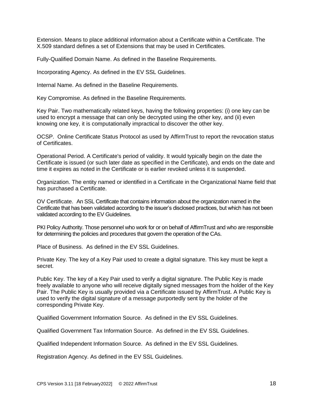Extension. Means to place additional information about a Certificate within a Certificate. The X.509 standard defines a set of Extensions that may be used in Certificates.

Fully-Qualified Domain Name. As defined in the Baseline Requirements.

Incorporating Agency. As defined in the EV SSL Guidelines.

Internal Name. As defined in the Baseline Requirements.

Key Compromise. As defined in the Baseline Requirements.

Key Pair. Two mathematically related keys, having the following properties: (i) one key can be used to encrypt a message that can only be decrypted using the other key, and (ii) even knowing one key, it is computationally impractical to discover the other key.

OCSP. Online Certificate Status Protocol as used by AffirmTrust to report the revocation status of Certificates.

Operational Period. A Certificate's period of validity. It would typically begin on the date the Certificate is issued (or such later date as specified in the Certificate), and ends on the date and time it expires as noted in the Certificate or is earlier revoked unless it is suspended.

Organization. The entity named or identified in a Certificate in the Organizational Name field that has purchased a Certificate.

OV Certificate. An SSL Certificate that contains information about the organization named in the Certificate that has been validated according to the issuer's disclosed practices, but which has not been validated according to the EV Guidelines.

PKI Policy Authority. Those personnel who work for or on behalf of AffirmTrust and who are responsible for determining the policies and procedures that govern the operation of the CAs.

Place of Business. As defined in the EV SSL Guidelines.

Private Key. The key of a Key Pair used to create a digital signature. This key must be kept a secret.

Public Key. The key of a Key Pair used to verify a digital signature. The Public Key is made freely available to anyone who will receive digitally signed messages from the holder of the Key Pair. The Public Key is usually provided via a Certificate issued by AffirmTrust. A Public Key is used to verify the digital signature of a message purportedly sent by the holder of the corresponding Private Key.

Qualified Government Information Source. As defined in the EV SSL Guidelines.

Qualified Government Tax Information Source. As defined in the EV SSL Guidelines.

Qualified Independent Information Source. As defined in the EV SSL Guidelines.

Registration Agency. As defined in the EV SSL Guidelines.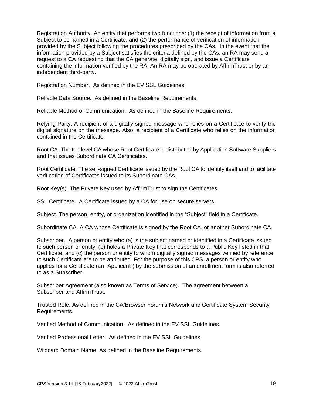Registration Authority. An entity that performs two functions: (1) the receipt of information from a Subject to be named in a Certificate, and (2) the performance of verification of information provided by the Subject following the procedures prescribed by the CAs. In the event that the information provided by a Subject satisfies the criteria defined by the CAs, an RA may send a request to a CA requesting that the CA generate, digitally sign, and issue a Certificate containing the information verified by the RA. An RA may be operated by AffirmTrust or by an independent third-party.

Registration Number. As defined in the EV SSL Guidelines.

Reliable Data Source. As defined in the Baseline Requirements.

Reliable Method of Communication. As defined in the Baseline Requirements.

Relying Party. A recipient of a digitally signed message who relies on a Certificate to verify the digital signature on the message. Also, a recipient of a Certificate who relies on the information contained in the Certificate.

Root CA. The top level CA whose Root Certificate is distributed by Application Software Suppliers and that issues Subordinate CA Certificates.

Root Certificate. The self-signed Certificate issued by the Root CA to identify itself and to facilitate verification of Certificates issued to its Subordinate CAs.

Root Key(s). The Private Key used by AffirmTrust to sign the Certificates.

SSL Certificate. A Certificate issued by a CA for use on secure servers.

Subject. The person, entity, or organization identified in the "Subject" field in a Certificate.

Subordinate CA. A CA whose Certificate is signed by the Root CA, or another Subordinate CA.

Subscriber. A person or entity who (a) is the subject named or identified in a Certificate issued to such person or entity, (b) holds a Private Key that corresponds to a Public Key listed in that Certificate, and (c) the person or entity to whom digitally signed messages verified by reference to such Certificate are to be attributed. For the purpose of this CPS, a person or entity who applies for a Certificate (an "Applicant") by the submission of an enrollment form is also referred to as a Subscriber.

Subscriber Agreement (also known as Terms of Service). The agreement between a Subscriber and AffirmTrust.

Trusted Role. As defined in the CA/Browser Forum's Network and Certificate System Security Requirements.

Verified Method of Communication. As defined in the EV SSL Guidelines.

Verified Professional Letter. As defined in the EV SSL Guidelines.

Wildcard Domain Name. As defined in the Baseline Requirements.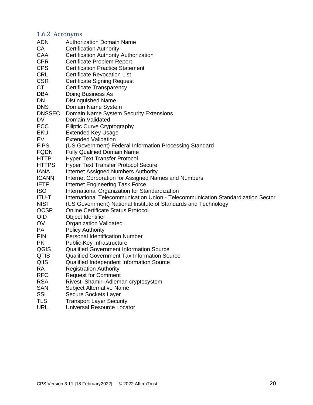# <span id="page-20-0"></span>1.6.2 Acronyms

| <b>ADN</b>    | <b>Authorization Domain Name</b>                                                 |
|---------------|----------------------------------------------------------------------------------|
| СA            | <b>Certification Authority</b>                                                   |
| CAA           | <b>Certification Authority Authorization</b>                                     |
| <b>CPR</b>    | Certificate Problem Report                                                       |
| <b>CPS</b>    | <b>Certification Practice Statement</b>                                          |
| <b>CRL</b>    | <b>Certificate Revocation List</b>                                               |
| <b>CSR</b>    | <b>Certificate Signing Request</b>                                               |
| СT            | Certificate Transparency                                                         |
| DBA           | Doing Business As                                                                |
| DN            | <b>Distinguished Name</b>                                                        |
| <b>DNS</b>    | Domain Name System                                                               |
| <b>DNSSEC</b> | Domain Name System Security Extensions                                           |
| DV            | Domain Validated                                                                 |
| ECC           | <b>Elliptic Curve Cryptography</b>                                               |
| EKU           | <b>Extended Key Usage</b>                                                        |
| EV            | <b>Extended Validation</b>                                                       |
| <b>FIPS</b>   | (US Government) Federal Information Processing Standard                          |
| <b>FQDN</b>   | <b>Fully Qualified Domain Name</b>                                               |
| <b>HTTP</b>   | <b>Hyper Text Transfer Protocol</b>                                              |
| <b>HTTPS</b>  | <b>Hyper Text Transfer Protocol Secure</b>                                       |
| <b>IANA</b>   | Internet Assigned Numbers Authority                                              |
| <b>ICANN</b>  | Internet Corporation for Assigned Names and Numbers                              |
| <b>IETF</b>   | <b>Internet Engineering Task Force</b>                                           |
| <b>ISO</b>    | International Organization for Standardization                                   |
| <b>ITU-T</b>  | International Telecommunication Union - Telecommunication Standardization Sector |
| <b>NIST</b>   | (US Government) National Institute of Standards and Technology                   |
| <b>OCSP</b>   | <b>Online Certificate Status Protocol</b>                                        |
| OID           | Object Identifier                                                                |
| OV            | <b>Organization Validated</b>                                                    |
| PA            | <b>Policy Authority</b>                                                          |
| <b>PIN</b>    | <b>Personal Identification Number</b>                                            |
| PKI           | Public-Key Infrastructure                                                        |
| QGIS          | <b>Qualified Government Information Source</b>                                   |
| <b>QTIS</b>   | <b>Qualified Government Tax Information Source</b>                               |
| QIIS          | Qualified Independent Information Source                                         |
| <b>RA</b>     | <b>Registration Authority</b>                                                    |
| <b>RFC</b>    | <b>Request for Comment</b>                                                       |
| <b>RSA</b>    | Rivest-Shamir-Adleman cryptosystem                                               |
| <b>SAN</b>    | <b>Subject Alternative Name</b>                                                  |
| <b>SSL</b>    | Secure Sockets Layer                                                             |
| <b>TLS</b>    | <b>Transport Layer Security</b>                                                  |
| <b>URL</b>    | <b>Universal Resource Locator</b>                                                |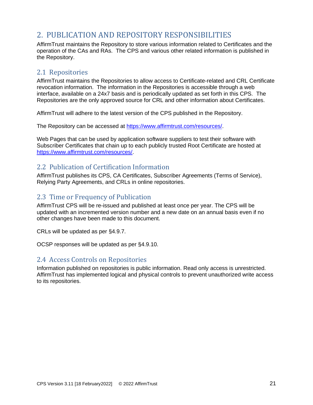# <span id="page-21-0"></span>2. PUBLICATION AND REPOSITORY RESPONSIBILITIES

AffirmTrust maintains the Repository to store various information related to Certificates and the operation of the CAs and RAs. The CPS and various other related information is published in the Repository.

# <span id="page-21-1"></span>2.1 Repositories

AffirmTrust maintains the Repositories to allow access to Certificate-related and CRL Certificate revocation information. The information in the Repositories is accessible through a web interface, available on a 24x7 basis and is periodically updated as set forth in this CPS. The Repositories are the only approved source for CRL and other information about Certificates.

AffirmTrust will adhere to the latest version of the CPS published in the Repository.

The Repository can be accessed at [https://www.affirmtrust.com/resources/.](https://www.affirmtrust.com/resources/)

Web Pages that can be used by application software suppliers to test their software with Subscriber Certificates that chain up to each publicly trusted Root Certificate are hosted at [https://www.affirmtrust.com/resources/.](https://www.affirmtrust.com/resources/)

# <span id="page-21-2"></span>2.2 Publication of Certification Information

AffirmTrust publishes its CPS, CA Certificates, Subscriber Agreements (Terms of Service), Relying Party Agreements, and CRLs in online repositories.

# <span id="page-21-3"></span>2.3 Time or Frequency of Publication

AffirmTrust CPS will be re-issued and published at least once per year. The CPS will be updated with an incremented version number and a new date on an annual basis even if no other changes have been made to this document.

CRLs will be updated as per §4.9.7.

OCSP responses will be updated as per §4.9.10.

# <span id="page-21-4"></span>2.4 Access Controls on Repositories

Information published on repositories is public information. Read only access is unrestricted. AffirmTrust has implemented logical and physical controls to prevent unauthorized write access to its repositories.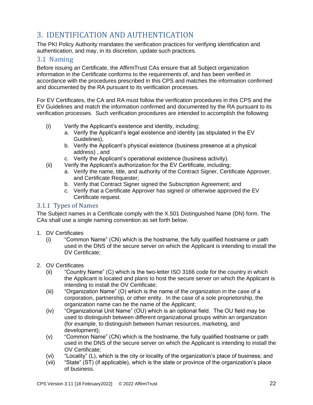# <span id="page-22-0"></span>3. IDENTIFICATION AND AUTHENTICATION

The PKI Policy Authority mandates the verification practices for verifying identification and authentication, and may, in its discretion, update such practices.

# <span id="page-22-1"></span>3.1 Naming

Before issuing an Certificate, the AffirmTrust CAs ensure that all Subject organization information in the Certificate conforms to the requirements of, and has been verified in accordance with the procedures prescribed in this CPS and matches the information confirmed and documented by the RA pursuant to its verification processes.

For EV Certificates, the CA and RA must follow the verification procedures in this CPS and the EV Guidelines and match the information confirmed and documented by the RA pursuant to its verification processes. Such verification procedures are intended to accomplish the following:

- (i) Verify the Applicant's existence and identity, including;
	- a. Verify the Applicant's legal existence and identity (as stipulated in the EV Guidelines),
	- b. Verify the Applicant's physical existence (business presence at a physical address) , and
	- c. Verify the Applicant's operational existence (business activity).
- (ii) Verify the Applicant's authorization for the EV Certificate, including;
	- a. Verify the name, title, and authority of the Contract Signer, Certificate Approver, and Certificate Requester;
	- b. Verify that Contract Signer signed the Subscription Agreement; and
	- c. Verify that a Certificate Approver has signed or otherwise approved the EV Certificate request.

## <span id="page-22-2"></span>3.1.1 Types of Names

The Subject names in a Certificate comply with the X.501 Distinguished Name (DN) form. The CAs shall use a single naming convention as set forth below.

- 1. DV Certificates
	- (i) "Common Name" (CN) which is the hostname, the fully qualified hostname or path used in the DNS of the secure server on which the Applicant is intending to install the DV Certificate;
- 2. OV Certificates
	- (ii) "Country Name" (C) which is the two-letter ISO 3166 code for the country in which the Applicant is located and plans to host the secure server on which the Applicant is intending to install the OV Certificate;
	- (iii) "Organization Name" (O) which is the name of the organization in the case of a corporation, partnership, or other entity. In the case of a sole proprietorship, the organization name can be the name of the Applicant;
	- (iv) "Organizational Unit Name" (OU) which is an optional field. The OU field may be used to distinguish between different organizational groups within an organization (for example, to distinguish between human resources, marketing, and development);
	- (v) "Common Name" (CN) which is the hostname, the fully qualified hostname or path used in the DNS of the secure server on which the Applicant is intending to install the OV Certificate;
	- (vi) "Locality" (L), which is the city or locality of the organization's place of business; and
	- (vii) "State" (ST) (if applicable), which is the state or province of the organization's place of business.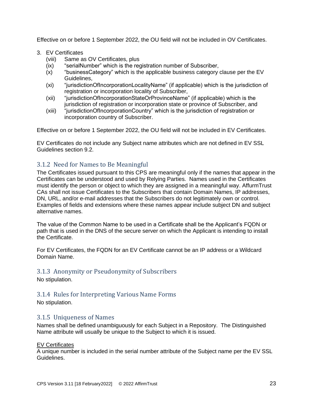Effective on or before 1 September 2022, the OU field will not be included in OV Certificates.

- 3. EV Certificates
	- (viii) Same as OV Certificates, plus
	- (ix) "serialNumber" which is the registration number of Subscriber,
	- (x) "businessCategory" which is the applicable business category clause per the EV Guidelines,
	- (xi) "jurisdictionOfIncorporationLocalityName" (if applicable) which is the jurisdiction of registration or incorporation locality of Subscriber,
	- (xii) "jurisdictionOfIncorporationStateOrProvinceName" (if applicable) which is the jurisdiction of registration or incorporation state or province of Subscriber, and
	- (xiii) "jurisdictionOfIncorporationCountry" which is the jurisdiction of registration or incorporation country of Subscriber.

Effective on or before 1 September 2022, the OU field will not be included in EV Certificates.

EV Certificates do not include any Subject name attributes which are not defined in EV SSL Guidelines section 9.2.

# <span id="page-23-0"></span>3.1.2 Need for Names to Be Meaningful

The Certificates issued pursuant to this CPS are meaningful only if the names that appear in the Certificates can be understood and used by Relying Parties. Names used in the Certificates must identify the person or object to which they are assigned in a meaningful way. AffurmTrust CAs shall not issue Certificates to the Subscribers that contain Domain Names, IP addresses, DN, URL, and/or e-mail addresses that the Subscribers do not legitimately own or control. Examples of fields and extensions where these names appear include subject DN and subject alternative names.

The value of the Common Name to be used in a Certificate shall be the Applicant's FQDN or path that is used in the DNS of the secure server on which the Applicant is intending to install the Certificate.

For EV Certificates, the FQDN for an EV Certificate cannot be an IP address or a Wildcard Domain Name.

## <span id="page-23-1"></span>3.1.3 Anonymity or Pseudonymity of Subscribers

No stipulation.

## <span id="page-23-2"></span>3.1.4 Rules for Interpreting Various Name Forms

No stipulation.

## <span id="page-23-3"></span>3.1.5 Uniqueness of Names

Names shall be defined unambiguously for each Subject in a Repository. The Distinguished Name attribute will usually be unique to the Subject to which it is issued.

#### EV Certificates

A unique number is included in the serial number attribute of the Subject name per the EV SSL Guidelines.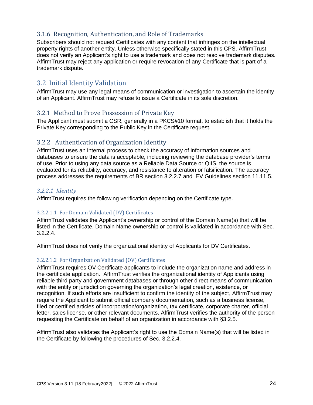# <span id="page-24-0"></span>3.1.6 Recognition, Authentication, and Role of Trademarks

Subscribers should not request Certificates with any content that infringes on the intellectual property rights of another entity. Unless otherwise specifically stated in this CPS, AffirmTrust does not verify an Applicant's right to use a trademark and does not resolve trademark disputes. AffirmTrust may reject any application or require revocation of any Certificate that is part of a trademark dispute.

# <span id="page-24-1"></span>3.2 Initial Identity Validation

AffirmTrust may use any legal means of communication or investigation to ascertain the identity of an Applicant. AffirmTrust may refuse to issue a Certificate in its sole discretion.

# <span id="page-24-2"></span>3.2.1 Method to Prove Possession of Private Key

The Applicant must submit a CSR, generally in a PKCS#10 format, to establish that it holds the Private Key corresponding to the Public Key in the Certificate request.

# <span id="page-24-3"></span>3.2.2 Authentication of Organization Identity

AffirmTrust uses an internal process to check the accuracy of information sources and databases to ensure the data is acceptable, including reviewing the database provider's terms of use. Prior to using any data source as a Reliable Data Source or QIIS, the source is evaluated for its reliability, accuracy, and resistance to alteration or falsification. The accuracy process addresses the requirements of BR section 3.2.2.7 and EV Guidelines section 11.11.5.

## <span id="page-24-4"></span>*3.2.2.1 Identity*

AffirmTrust requires the following verification depending on the Certificate type.

#### <span id="page-24-5"></span>3.2.2.1.1 For Domain Validated (DV) Certificates

AffirmTrust validates the Applicant's ownership or control of the Domain Name(s) that will be listed in the Certificate. Domain Name ownership or control is validated in accordance with Sec. 3.2.2.4.

AffirmTrust does not verify the organizational identity of Applicants for DV Certificates.

#### <span id="page-24-6"></span>3.2.2.1.2 For Organization Validated (OV) Certificates

AffirmTrust requires OV Certificate applicants to include the organization name and address in the certificate application. AffirmTrust verifies the organizational identity of Applicants using reliable third party and government databases or through other direct means of communication with the entity or jurisdiction governing the organization's legal creation, existence, or recognition. If such efforts are insufficient to confirm the identity of the subject, AffirmTrust may require the Applicant to submit official company documentation, such as a business license, filed or certified articles of incorporation/organization, tax certificate, corporate charter, official letter, sales license, or other relevant documents. AffirmTrust verifies the authority of the person requesting the Certificate on behalf of an organization in accordance with §3.2.5.

AffirmTrust also validates the Applicant's right to use the Domain Name(s) that will be listed in the Certificate by following the procedures of Sec. 3.2.2.4.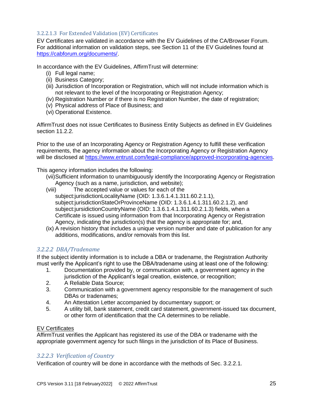### <span id="page-25-0"></span>3.2.2.1.3 For Extended Validation (EV) Certificates

EV Certificates are validated in accordance with the EV Guidelines of the CA/Browser Forum. For additional information on validation steps, see Section 11 of the EV Guidelines found at [https://cabforum.org/documents/.](https://cabforum.org/documents/)

In accordance with the EV Guidelines, AffirmTrust will determine:

- (i) Full legal name;
- (ii) Business Category;
- (iii) Jurisdiction of Incorporation or Registration, which will not include information which is not relevant to the level of the Incorporating or Registration Agency;
- (iv) Registration Number or if there is no Registration Number, the date of registration;
- (v) Physical address of Place of Business; and
- (vi) Operational Existence.

AffirmTrust does not issue Certificates to Business Entity Subjects as defined in EV Guidelines section 11.2.2.

Prior to the use of an Incorporating Agency or Registration Agency to fulfill these verification requirements, the agency information about the Incorporating Agency or Registration Agency will be disclosed at [https://www.entrust.com/legal-compliance/approved-incorporating-agencies.](https://www.entrust.com/legal-compliance/approved-incorporating-agencies)

This agency information includes the following:

- (vii)Sufficient information to unambiguously identify the Incorporating Agency or Registration Agency (such as a name, jurisdiction, and website);
- (viii) The accepted value or values for each of the subject:jurisdictionLocalityName (OID: 1.3.6.1.4.1.311.60.2.1.1), subject:jurisdictionStateOrProvinceName (OID: 1.3.6.1.4.1.311.60.2.1.2), and subject:jursidictionCountryName (OID: 1.3.6.1.4.1.311.60.2.1.3) fields, when a Certificate is issued using information from that Incorporating Agency or Registration Agency, indicating the jurisdiction(s) that the agency is appropriate for; and,
- (ix) A revision history that includes a unique version number and date of publication for any additions, modifications, and/or removals from this list.

## <span id="page-25-1"></span>*3.2.2.2 DBA/Tradename*

If the subject identity information is to include a DBA or tradename, the Registration Authority must verify the Applicant's right to use the DBA/tradename using at least one of the following:

- 1. Documentation provided by, or communication with, a government agency in the jurisdiction of the Applicant's legal creation, existence, or recognition;
- 2. A Reliable Data Source;
- 3. Communication with a government agency responsible for the management of such DBAs or tradenames;
- 4. An Attestation Letter accompanied by documentary support; or
- 5. A utility bill, bank statement, credit card statement, government‐issued tax document, or other form of identification that the CA determines to be reliable.

#### EV Certificates

AffirmTrust verifies the Applicant has registered its use of the DBA or tradename with the appropriate government agency for such filings in the jurisdiction of its Place of Business.

#### <span id="page-25-2"></span>*3.2.2.3 Verification of Country*

Verification of country will be done in accordance with the methods of Sec. 3.2.2.1.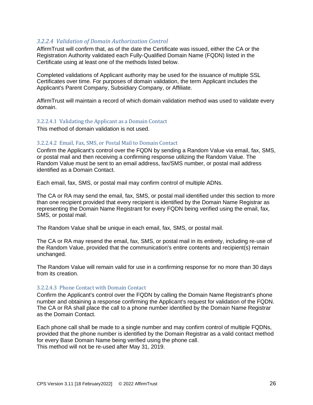## <span id="page-26-0"></span>*3.2.2.4 Validation of Domain Authorization Control*

AffirmTrust will confirm that, as of the date the Certificate was issued, either the CA or the Registration Authority validated each Fully‐Qualified Domain Name (FQDN) listed in the Certificate using at least one of the methods listed below.

Completed validations of Applicant authority may be used for the issuance of multiple SSL Certificates over time. For purposes of domain validation, the term Applicant includes the Applicant's Parent Company, Subsidiary Company, or Affiliate.

AffirmTrust will maintain a record of which domain validation method was used to validate every domain.

#### <span id="page-26-1"></span>3.2.2.4.1 Validating the Applicant as a Domain Contact

This method of domain validation is not used.

#### <span id="page-26-2"></span>3.2.2.4.2 Email, Fax, SMS, or Postal Mail to Domain Contact

Confirm the Applicant's control over the FQDN by sending a Random Value via email, fax, SMS, or postal mail and then receiving a confirming response utilizing the Random Value. The Random Value must be sent to an email address, fax/SMS number, or postal mail address identified as a Domain Contact.

Each email, fax, SMS, or postal mail may confirm control of multiple ADNs.

The CA or RA may send the email, fax, SMS, or postal mail identified under this section to more than one recipient provided that every recipient is identified by the Domain Name Registrar as representing the Domain Name Registrant for every FQDN being verified using the email, fax, SMS, or postal mail.

The Random Value shall be unique in each email, fax, SMS, or postal mail.

The CA or RA may resend the email, fax, SMS, or postal mail in its entirety, including re‐use of the Random Value, provided that the communication's entire contents and recipient(s) remain unchanged.

The Random Value will remain valid for use in a confirming response for no more than 30 days from its creation.

#### <span id="page-26-3"></span>3.2.2.4.3 Phone Contact with Domain Contact

Confirm the Applicant's control over the FQDN by calling the Domain Name Registrant's phone number and obtaining a response confirming the Applicant's request for validation of the FQDN. The CA or RA shall place the call to a phone number identified by the Domain Name Registrar as the Domain Contact.

Each phone call shall be made to a single number and may confirm control of multiple FQDNs, provided that the phone number is identified by the Domain Registrar as a valid contact method for every Base Domain Name being verified using the phone call. This method will not be re-used after May 31, 2019.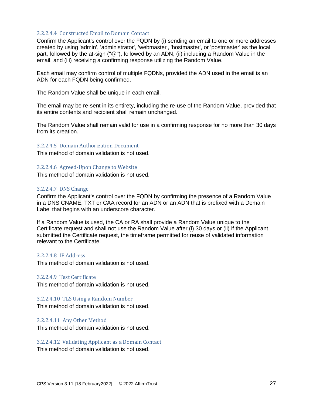#### <span id="page-27-0"></span>3.2.2.4.4 Constructed Email to Domain Contact

Confirm the Applicant's control over the FQDN by (i) sending an email to one or more addresses created by using 'admin', 'administrator', 'webmaster', 'hostmaster', or 'postmaster' as the local part, followed by the at-sign ("@"), followed by an ADN, (ii) including a Random Value in the email, and (iii) receiving a confirming response utilizing the Random Value.

Each email may confirm control of multiple FQDNs, provided the ADN used in the email is an ADN for each FQDN being confirmed.

The Random Value shall be unique in each email.

The email may be re-sent in its entirety, including the re-use of the Random Value, provided that its entire contents and recipient shall remain unchanged.

The Random Value shall remain valid for use in a confirming response for no more than 30 days from its creation.

#### <span id="page-27-1"></span>3.2.2.4.5 Domain Authorization Document

This method of domain validation is not used.

#### <span id="page-27-2"></span>3.2.2.4.6 Agreed-Upon Change to Website

This method of domain validation is not used.

#### <span id="page-27-3"></span>3.2.2.4.7 DNS Change

Confirm the Applicant's control over the FQDN by confirming the presence of a Random Value in a DNS CNAME, TXT or CAA record for an ADN or an ADN that is prefixed with a Domain Label that begins with an underscore character.

If a Random Value is used, the CA or RA shall provide a Random Value unique to the Certificate request and shall not use the Random Value after (i) 30 days or (ii) if the Applicant submitted the Certificate request, the timeframe permitted for reuse of validated information relevant to the Certificate.

#### <span id="page-27-4"></span>3.2.2.4.8 IP Address

This method of domain validation is not used.

#### <span id="page-27-5"></span>3.2.2.4.9 Test Certificate

This method of domain validation is not used.

<span id="page-27-6"></span>3.2.2.4.10 TLS Using a Random Number This method of domain validation is not used.

#### <span id="page-27-7"></span>3.2.2.4.11 Any Other Method

This method of domain validation is not used.

<span id="page-27-8"></span>3.2.2.4.12 Validating Applicant as a Domain Contact

This method of domain validation is not used.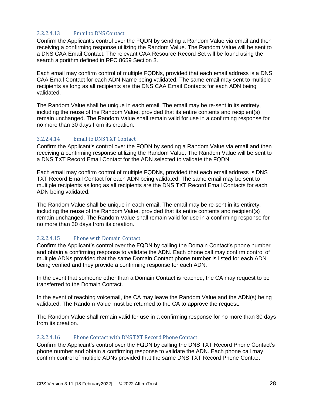## <span id="page-28-0"></span>3.2.2.4.13 Email to DNS Contact

Confirm the Applicant's control over the FQDN by sending a Random Value via email and then receiving a confirming response utilizing the Random Value. The Random Value will be sent to a DNS CAA Email Contact. The relevant CAA Resource Record Set will be found using the search algorithm defined in RFC 8659 Section 3.

Each email may confirm control of multiple FQDNs, provided that each email address is a DNS CAA Email Contact for each ADN Name being validated. The same email may sent to multiple recipients as long as all recipients are the DNS CAA Email Contacts for each ADN being validated.

The Random Value shall be unique in each email. The email may be re-sent in its entirety, including the reuse of the Random Value, provided that its entire contents and recipient(s) remain unchanged. The Random Value shall remain valid for use in a confirming response for no more than 30 days from its creation.

#### <span id="page-28-1"></span>3.2.2.4.14 Email to DNS TXT Contact

Confirm the Applicant's control over the FQDN by sending a Random Value via email and then receiving a confirming response utilizing the Random Value. The Random Value will be sent to a DNS TXT Record Email Contact for the ADN selected to validate the FQDN.

Each email may confirm control of multiple FQDNs, provided that each email address is DNS TXT Record Email Contact for each ADN being validated. The same email may be sent to multiple recipients as long as all recipients are the DNS TXT Record Email Contacts for each ADN being validated.

The Random Value shall be unique in each email. The email may be re-sent in its entirety, including the reuse of the Random Value, provided that its entire contents and recipient(s) remain unchanged. The Random Value shall remain valid for use in a confirming response for no more than 30 days from its creation.

#### <span id="page-28-2"></span>3.2.2.4.15 Phone with Domain Contact

Confirm the Applicant's control over the FQDN by calling the Domain Contact's phone number and obtain a confirming response to validate the ADN. Each phone call may confirm control of multiple ADNs provided that the same Domain Contact phone number is listed for each ADN being verified and they provide a confirming response for each ADN.

In the event that someone other than a Domain Contact is reached, the CA may request to be transferred to the Domain Contact.

In the event of reaching voicemail, the CA may leave the Random Value and the ADN(s) being validated. The Random Value must be returned to the CA to approve the request.

The Random Value shall remain valid for use in a confirming response for no more than 30 days from its creation.

#### <span id="page-28-3"></span>3.2.2.4.16 Phone Contact with DNS TXT Record Phone Contact

Confirm the Applicant's control over the FQDN by calling the DNS TXT Record Phone Contact's phone number and obtain a confirming response to validate the ADN. Each phone call may confirm control of multiple ADNs provided that the same DNS TXT Record Phone Contact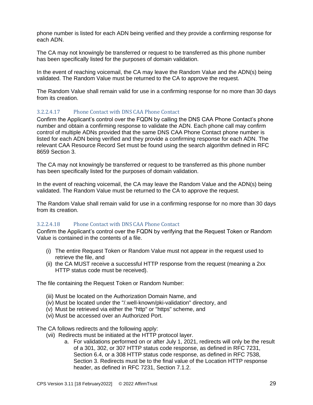phone number is listed for each ADN being verified and they provide a confirming response for each ADN.

The CA may not knowingly be transferred or request to be transferred as this phone number has been specifically listed for the purposes of domain validation.

In the event of reaching voicemail, the CA may leave the Random Value and the ADN(s) being validated. The Random Value must be returned to the CA to approve the request.

The Random Value shall remain valid for use in a confirming response for no more than 30 days from its creation.

#### <span id="page-29-0"></span>3.2.2.4.17 Phone Contact with DNS CAA Phone Contact

Confirm the Applicant's control over the FQDN by calling the DNS CAA Phone Contact's phone number and obtain a confirming response to validate the ADN. Each phone call may confirm control of multiple ADNs provided that the same DNS CAA Phone Contact phone number is listed for each ADN being verified and they provide a confirming response for each ADN. The relevant CAA Resource Record Set must be found using the search algorithm defined in RFC 8659 Section 3.

The CA may not knowingly be transferred or request to be transferred as this phone number has been specifically listed for the purposes of domain validation.

In the event of reaching voicemail, the CA may leave the Random Value and the ADN(s) being validated. The Random Value must be returned to the CA to approve the request.

The Random Value shall remain valid for use in a confirming response for no more than 30 days from its creation.

#### <span id="page-29-1"></span>3.2.2.4.18 Phone Contact with DNS CAA Phone Contact

Confirm the Applicant's control over the FQDN by verifying that the Request Token or Random Value is contained in the contents of a file.

- (i) The entire Request Token or Random Value must not appear in the request used to retrieve the file, and
- (ii) the CA MUST receive a successful HTTP response from the request (meaning a 2xx HTTP status code must be received).

The file containing the Request Token or Random Number:

- (iii) Must be located on the Authorization Domain Name, and
- (iv) Must be located under the "/.well-known/pki-validation" directory, and
- (v) Must be retrieved via either the "http" or "https" scheme, and
- (vi) Must be accessed over an Authorized Port.

The CA follows redirects and the following apply:

- (vii) Redirects must be initiated at the HTTP protocol layer.
	- a. For validations performed on or after July 1, 2021, redirects will only be the result of a 301, 302, or 307 HTTP status code response, as defined in RFC 7231, Section 6.4, or a 308 HTTP status code response, as defined in RFC 7538, Section 3. Redirects must be to the final value of the Location HTTP response header, as defined in RFC 7231, Section 7.1.2.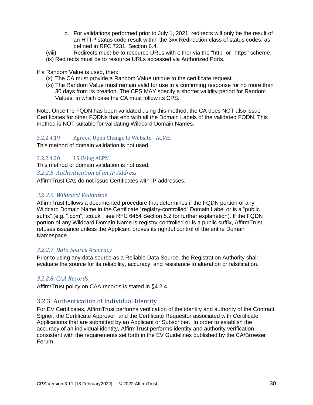- b. For validations performed prior to July 1, 2021, redirects will only be the result of an HTTP status code result within the 3xx Redirection class of status codes, as defined in RFC 7231, Section 6.4.
- (viii) Redirects must be to resource URLs with either via the "http" or "https" scheme.
- (ix) Redirects must be to resource URLs accessed via Authorized Ports.

## If a Random Value is used, then:

- (x) The CA must provide a Random Value unique to the certificate request.
- (xi) The Random Value must remain valid for use in a confirming response for no more than 30 days from its creation. The CPS MAY specify a shorter validity period for Random Values, in which case the CA must follow its CPS.

Note: Once the FQDN has been validated using this method, the CA does NOT also issue Certificates for other FQDNs that end with all the Domain Labels of the validated FQDN. This method is NOT suitable for validating Wildcard Domain Names.

## <span id="page-30-0"></span>3.2.2.4.19 Agreed-Upon Change to Website - ACME

This method of domain validation is not used.

## <span id="page-30-1"></span>3.2.2.4.20 LS Using ALPN

This method of domain validation is not used.

#### <span id="page-30-2"></span>*3.2.2.5 Authentication of an IP Address*

AffirmTrust CAs do not issue Certificates with IP addresses.

## <span id="page-30-3"></span>*3.2.2.6 Wildcard Validation*

AffirmTrust follows a documented procedure that determines if the FQDN portion of any Wildcard Domain Name in the Certificate "registry‐controlled" Domain Label or is a "public suffix" (e.g. ".com",".co.uk", see RFC 6454 Section 8.2 for further explanation). If the FQDN portion of any Wildcard Domain Name is registry-controlled or is a public suffix, AffirmTrust refuses issuance unless the Applicant proves its rightful control of the entire Domain Namespace.

## <span id="page-30-4"></span>*3.2.2.7 Data Source Accuracy*

Prior to using any data source as a Reliable Data Source, the Registration Authority shall evaluate the source for its reliability, accuracy, and resistance to alteration or falsification.

## <span id="page-30-5"></span>*3.2.2.8 CAA Records*

AffirmTrust policy on CAA records is stated in §4.2.4.

# <span id="page-30-6"></span>3.2.3 Authentication of Individual Identity

For EV Certificates, AffirmTrust performs verification of the identity and authority of the Contract Signer, the Certificate Approver, and the Certificate Requestor associated with Certificate Applications that are submitted by an Applicant or Subscriber. In order to establish the accuracy of an individual identity, AffirmTrust performs identity and authority verification consistent with the requirements set forth in the EV Guidelines published by the CA/Browser Forum.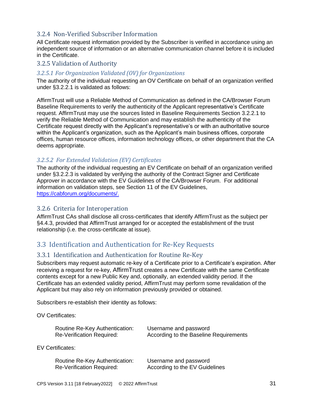# <span id="page-31-0"></span>3.2.4 Non-Verified Subscriber Information

All Certificate request information provided by the Subscriber is verified in accordance using an independent source of information or an alternative communication channel before it is included in the Certificate.

## <span id="page-31-1"></span>3.2.5 Validation of Authority

### <span id="page-31-2"></span>*3.2.5.1 For Organization Validated (OV) for Organizations*

The authority of the individual requesting an OV Certificate on behalf of an organization verified under §3.2.2.1 is validated as follows:

AffirmTrust will use a Reliable Method of Communication as defined in the CA/Browser Forum Baseline Requirements to verify the authenticity of the Applicant representative's Certificate request. AffirmTrust may use the sources listed in Baseline Requirements Section 3.2.2.1 to verify the Reliable Method of Communication and may establish the authenticity of the Certificate request directly with the Applicant's representative's or with an authoritative source within the Applicant's organization, such as the Applicant's main business offices, corporate offices, human resource offices, information technology offices, or other department that the CA deems appropriate.

## <span id="page-31-3"></span>*3.2.5.2 For Extended Validation (EV) Certificates*

The authority of the individual requesting an EV Certificate on behalf of an organization verified under §3.2.2.3 is validated by verifying the authority of the Contract Signer and Certificate Approver in accordance with the EV Guidelines of the CA/Browser Forum. For additional information on validation steps, see Section 11 of the EV Guidelines, [https://cabforum.org/documents/.](https://cabforum.org/documents/)

### <span id="page-31-4"></span>3.2.6 Criteria for Interoperation

AffirmTrust CAs shall disclose all cross-certificates that identify AffirmTrust as the subject per §4.4.3, provided that AffirmTrust arranged for or accepted the establishment of the trust relationship (i.e. the cross-certificate at issue).

# <span id="page-31-5"></span>3.3 Identification and Authentication for Re-Key Requests

## <span id="page-31-6"></span>3.3.1 Identification and Authentication for Routine Re-Key

Subscribers may request automatic re-key of a Certificate prior to a Certificate's expiration. After receiving a request for re-key, AffirmTrust creates a new Certificate with the same Certificate contents except for a new Public Key and, optionally, an extended validity period. If the Certificate has an extended validity period, AffirmTrust may perform some revalidation of the Applicant but may also rely on information previously provided or obtained.

Subscribers re-establish their identity as follows:

OV Certificates:

| Routine Re-Key Authentication: | Username and password                  |
|--------------------------------|----------------------------------------|
| Re-Verification Required:      | According to the Baseline Requirements |

EV Certificates:

Routine Re-Key Authentication: Username and password Re-Verification Required: According to the EV Guidelines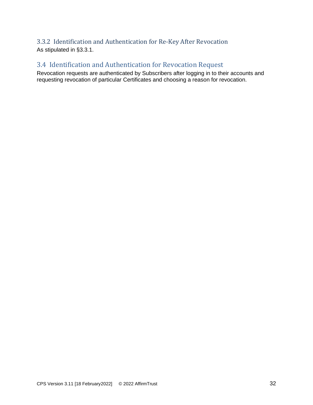# <span id="page-32-0"></span>3.3.2 Identification and Authentication for Re-Key After Revocation As stipulated in §3.3.1.

# <span id="page-32-1"></span>3.4 Identification and Authentication for Revocation Request

Revocation requests are authenticated by Subscribers after logging in to their accounts and requesting revocation of particular Certificates and choosing a reason for revocation.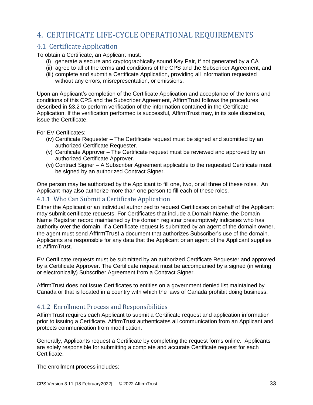# <span id="page-33-0"></span>4. CERTIFICATE LIFE-CYCLE OPERATIONAL REQUIREMENTS

# <span id="page-33-1"></span>4.1 Certificate Application

To obtain a Certificate, an Applicant must:

- (i) generate a secure and cryptographically sound Key Pair, if not generated by a CA
- (ii) agree to all of the terms and conditions of the CPS and the Subscriber Agreement, and
- (iii) complete and submit a Certificate Application, providing all information requested without any errors, misrepresentation, or omissions.

Upon an Applicant's completion of the Certificate Application and acceptance of the terms and conditions of this CPS and the Subscriber Agreement, AffirmTrust follows the procedures described in §3.2 to perform verification of the information contained in the Certificate Application. If the verification performed is successful, AffirmTrust may, in its sole discretion, issue the Certificate.

For EV Certificates:

- (iv) Certificate Requester The Certificate request must be signed and submitted by an authorized Certificate Requester.
- (v) Certificate Approver The Certificate request must be reviewed and approved by an authorized Certificate Approver.
- (vi) Contract Signer A Subscriber Agreement applicable to the requested Certificate must be signed by an authorized Contract Signer.

One person may be authorized by the Applicant to fill one, two, or all three of these roles. An Applicant may also authorize more than one person to fill each of these roles.

## <span id="page-33-2"></span>4.1.1 Who Can Submit a Certificate Application

Either the Applicant or an individual authorized to request Certificates on behalf of the Applicant may submit certificate requests. For Certificates that include a Domain Name, the Domain Name Registrar record maintained by the domain registrar presumptively indicates who has authority over the domain. If a Certificate request is submitted by an agent of the domain owner, the agent must send AffirmTrust a document that authorizes Subscriber's use of the domain. Applicants are responsible for any data that the Applicant or an agent of the Applicant supplies to AffirmTrust.

EV Certificate requests must be submitted by an authorized Certificate Requester and approved by a Certificate Approver. The Certificate request must be accompanied by a signed (in writing or electronically) Subscriber Agreement from a Contract Signer.

AffirmTrust does not issue Certificates to entities on a government denied list maintained by Canada or that is located in a country with which the laws of Canada prohibit doing business.

# <span id="page-33-3"></span>4.1.2 Enrollment Process and Responsibilities

AffirmTrust requires each Applicant to submit a Certificate request and application information prior to issuing a Certificate. AffirmTrust authenticates all communication from an Applicant and protects communication from modification.

Generally, Applicants request a Certificate by completing the request forms online. Applicants are solely responsible for submitting a complete and accurate Certificate request for each Certificate.

The enrollment process includes: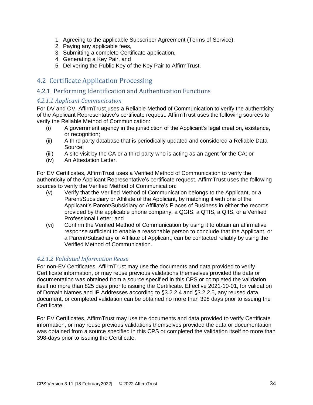- 1. Agreeing to the applicable Subscriber Agreement (Terms of Service),
- 2. Paying any applicable fees,
- 3. Submitting a complete Certificate application,
- 4. Generating a Key Pair, and
- 5. Delivering the Public Key of the Key Pair to AffirmTrust.

# <span id="page-34-0"></span>4.2 Certificate Application Processing

## <span id="page-34-1"></span>4.2.1 Performing Identification and Authentication Functions

#### <span id="page-34-2"></span>*4.2.1.1 Applicant Communication*

For DV and OV, AffirmTrust uses a Reliable Method of Communication to verify the authenticity of the Applicant Representative's certificate request. AffirmTrust uses the following sources to verify the Reliable Method of Communication:

- (i) A government agency in the jurisdiction of the Applicant's legal creation, existence, or recognition;
- (ii) A third party database that is periodically updated and considered a Reliable Data Source;
- (iii) A site visit by the CA or a third party who is acting as an agent for the CA; or
- (iv) An Attestation Letter.

For EV Certificates, AffirmTrust uses a Verified Method of Communication to verify the authenticity of the Applicant Representative's certificate request. AffirmTrust uses the following sources to verify the Verified Method of Communication:

- (v) Verify that the Verified Method of Communication belongs to the Applicant, or a Parent/Subsidiary or Affiliate of the Applicant, by matching it with one of the Applicant's Parent/Subsidiary or Affiliate's Places of Business in either the records provided by the applicable phone company, a QGIS, a QTIS, a QIIS, or a Verified Professional Letter; and
- (vi) Confirm the Verified Method of Communication by using it to obtain an affirmative response sufficient to enable a reasonable person to conclude that the Applicant, or a Parent/Subsidiary or Affiliate of Applicant, can be contacted reliably by using the Verified Method of Communication.

## <span id="page-34-3"></span>*4.2.1.2 Validated Information Reuse*

For non-EV Certificates, AffirmTrust may use the documents and data provided to verify Certificate information, or may reuse previous validations themselves provided the data or documentation was obtained from a source specified in this CPS or completed the validation itself no more than 825 days prior to issuing the Certificate. Effective 2021-10-01, for validation of Domain Names and IP Addresses according to §3.2.2.4 and §3.2.2.5, any reused data, document, or completed validation can be obtained no more than 398 days prior to issuing the Certificate.

For EV Certificates, AffirmTrust may use the documents and data provided to verify Certificate information, or may reuse previous validations themselves provided the data or documentation was obtained from a source specified in this CPS or completed the validation itself no more than 398-days prior to issuing the Certificate.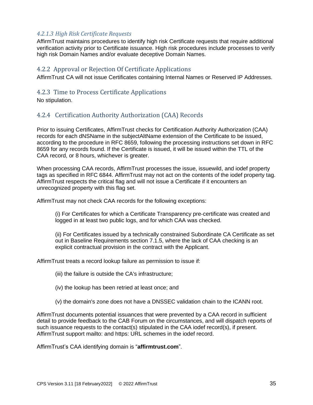### <span id="page-35-0"></span>*4.2.1.3 High Risk Certificate Requests*

AffirmTrust maintains procedures to identify high risk Certificate requests that require additional verification activity prior to Certificate issuance. High risk procedures include processes to verify high risk Domain Names and/or evaluate deceptive Domain Names.

## <span id="page-35-1"></span>4.2.2 Approval or Rejection Of Certificate Applications

AffirmTrust CA will not issue Certificates containing Internal Names or Reserved IP Addresses.

## <span id="page-35-2"></span>4.2.3 Time to Process Certificate Applications

No stipulation.

## <span id="page-35-3"></span>4.2.4 Certification Authority Authorization (CAA) Records

Prior to issuing Certificates, AffirmTrust checks for Certification Authority Authorization (CAA) records for each dNSName in the subjectAltName extension of the Certificate to be issued, according to the procedure in RFC 8659, following the processing instructions set down in RFC 8659 for any records found. If the Certificate is issued, it will be issued within the TTL of the CAA record, or 8 hours, whichever is greater.

When processing CAA records, AffirmTrust processes the issue, issuewild, and iodef property tags as specified in RFC 6844. AffirmTrust may not act on the contents of the iodef property tag. AffirmTrust respects the critical flag and will not issue a Certificate if it encounters an unrecognized property with this flag set.

AffirmTrust may not check CAA records for the following exceptions:

(i) For Certificates for which a Certificate Transparency pre‐certificate was created and logged in at least two public logs, and for which CAA was checked.

(ii) For Certificates issued by a technically constrained Subordinate CA Certificate as set out in Baseline Requirements section 7.1.5, where the lack of CAA checking is an explicit contractual provision in the contract with the Applicant.

AffirmTrust treats a record lookup failure as permission to issue if:

(iii) the failure is outside the CA's infrastructure;

- (iv) the lookup has been retried at least once; and
- (v) the domain's zone does not have a DNSSEC validation chain to the ICANN root.

AffirmTrust documents potential issuances that were prevented by a CAA record in sufficient detail to provide feedback to the CAB Forum on the circumstances, and will dispatch reports of such issuance requests to the contact(s) stipulated in the CAA iodef record(s), if present. AffirmTrust support mailto: and https: URL schemes in the iodef record.

AffirmTrust's CAA identifying domain is "**affirmtrust.com**".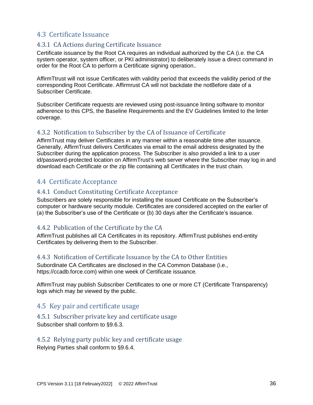# 4.3 Certificate Issuance

# 4.3.1 CA Actions during Certificate Issuance

Certificate issuance by the Root CA requires an individual authorized by the CA (i.e. the CA system operator, system officer, or PKI administrator) to deliberately issue a direct command in order for the Root CA to perform a Certificate signing operation..

AffirmTtrust will not issue Certificates with validity period that exceeds the validity period of the corresponding Root Certificate. Affirmrust CA will not backdate the notBefore date of a Subscriber Certificate.

Subscriber Certificate requests are reviewed using post-issuance linting software to monitor adherence to this CPS, the Baseline Requirements and the EV Guidelines limited to the linter coverage.

# 4.3.2 Notification to Subscriber by the CA of Issuance of Certificate

AffirmTrust may deliver Certificates in any manner within a reasonable time after issuance. Generally, AffirmTrust delivers Certificates via email to the email address designated by the Subscriber during the application process. The Subscriber is also provided a link to a user id/password-protected location on AffirmTrust's web server where the Subscriber may log in and download each Certificate or the zip file containing all Certificates in the trust chain.

# 4.4 Certificate Acceptance

## 4.4.1 Conduct Constituting Certificate Acceptance

Subscribers are solely responsible for installing the issued Certificate on the Subscriber's computer or hardware security module. Certificates are considered accepted on the earlier of (a) the Subscriber's use of the Certificate or (b) 30 days after the Certificate's issuance.

## 4.4.2 Publication of the Certificate by the CA

AffirmTrust publishes all CA Certificates in its repository. AffirmTrust publishes end-entity Certificates by delivering them to the Subscriber.

## 4.4.3 Notification of Certificate Issuance by the CA to Other Entities

Subordinate CA Certificates are disclosed in the CA Common Database (i.e., https://ccadb.force.com) within one week of Certificate issuance.

AffirmTrust may publish Subscriber Certificates to one or more CT (Certificate Transparency) logs which may be viewed by the public.

# 4.5 Key pair and certificate usage

## 4.5.1 Subscriber private key and certificate usage

Subscriber shall conform to §9.6.3.

## 4.5.2 Relying party public key and certificate usage

Relying Parties shall conform to §9.6.4.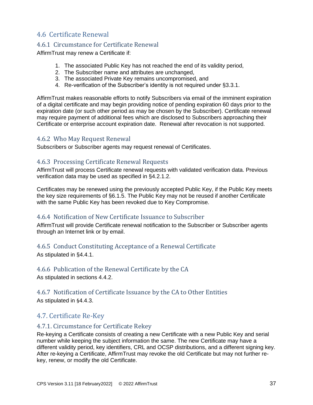# 4.6 Certificate Renewal

# 4.6.1 Circumstance for Certificate Renewal

AffirmTrust may renew a Certificate if:

- 1. The associated Public Key has not reached the end of its validity period,
- 2. The Subscriber name and attributes are unchanged,
- 3. The associated Private Key remains uncompromised, and
- 4. Re-verification of the Subscriber's identity is not required under §3.3.1.

AffirmTrust makes reasonable efforts to notify Subscribers via email of the imminent expiration of a digital certificate and may begin providing notice of pending expiration 60 days prior to the expiration date (or such other period as may be chosen by the Subscriber). Certificate renewal may require payment of additional fees which are disclosed to Subscribers approaching their Certificate or enterprise account expiration date. Renewal after revocation is not supported.

# 4.6.2 Who May Request Renewal

Subscribers or Subscriber agents may request renewal of Certificates.

# 4.6.3 Processing Certificate Renewal Requests

AffirmTrust will process Certificate renewal requests with validated verification data. Previous verification data may be used as specified in §4.2.1.2.

Certificates may be renewed using the previously accepted Public Key, if the Public Key meets the key size requirements of §6.1.5. The Public Key may not be reused if another Certificate with the same Public Key has been revoked due to Key Compromise.

## 4.6.4 Notification of New Certificate Issuance to Subscriber

AffirmTrust will provide Certificate renewal notification to the Subscriber or Subscriber agents through an Internet link or by email.

# 4.6.5 Conduct Constituting Acceptance of a Renewal Certificate

As stipulated in §4.4.1.

# 4.6.6 Publication of the Renewal Certificate by the CA

As stipulated in sections 4.4.2.

# 4.6.7 Notification of Certificate Issuance by the CA to Other Entities

As stipulated in §4.4.3.

# 4.7. Certificate Re-Key

# 4.7.1. Circumstance for Certificate Rekey

Re-keying a Certificate consists of creating a new Certificate with a new Public Key and serial number while keeping the subject information the same. The new Certificate may have a different validity period, key identifiers, CRL and OCSP distributions, and a different signing key. After re-keying a Certificate, AffirmTrust may revoke the old Certificate but may not further rekey, renew, or modify the old Certificate.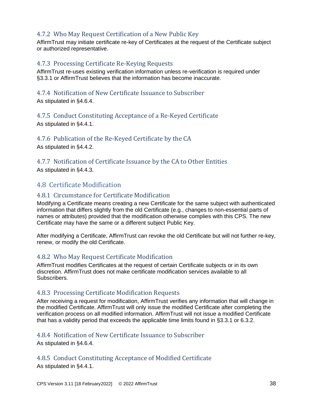# 4.7.2 Who May Request Certification of a New Public Key

AffirmTrust may initiate certificate re-key of Certificates at the request of the Certificate subject or authorized representative.

# 4.7.3 Processing Certificate Re-Keying Requests

AffirmTrust re-uses existing verification information unless re-verification is required under §3.3.1 or AffirmTrust believes that the information has become inaccurate.

#### 4.7.4 Notification of New Certificate Issuance to Subscriber As stipulated in §4.6.4.

4.7.5 Conduct Constituting Acceptance of a Re-Keyed Certificate

As stipulated in §4.4.1.

4.7.6 Publication of the Re-Keyed Certificate by the CA

As stipulated in §4.4.2.

4.7.7 Notification of Certificate Issuance by the CA to Other Entities As stipulated in §4.4.3.

# 4.8 Certificate Modification

# 4.8.1 Circumstance for Certificate Modification

Modifying a Certificate means creating a new Certificate for the same subject with authenticated information that differs slightly from the old Certificate (e.g., changes to non-essential parts of names or attributes) provided that the modification otherwise complies with this CPS. The new Certificate may have the same or a different subject Public Key.

After modifying a Certificate, AffirmTrust can revoke the old Certificate but will not further re-key, renew, or modify the old Certificate.

# 4.8.2 Who May Request Certificate Modification

AffirmTrust modifies Certificates at the request of certain Certificate subjects or in its own discretion. AffirmTrust does not make certificate modification services available to all Subscribers.

## 4.8.3 Processing Certificate Modification Requests

After receiving a request for modification, AffirmTrust verifies any information that will change in the modified Certificate. AffirmTrust will only issue the modified Certificate after completing the verification process on all modified information. AffirmTrust will not issue a modified Certificate that has a validity period that exceeds the applicable time limits found in §3.3.1 or 6.3.2.

## 4.8.4 Notification of New Certificate Issuance to Subscriber

As stipulated in §4.6.4.

## 4.8.5 Conduct Constituting Acceptance of Modified Certificate

As stipulated in §4.4.1.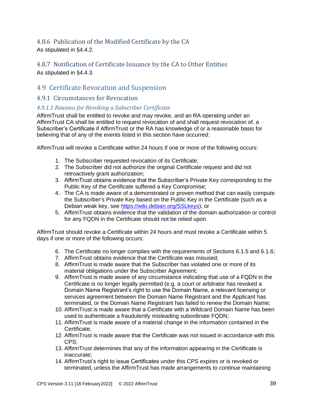# 4.8.6 Publication of the Modified Certificate by the CA

As stipulated in §4.4.2.

# 4.8.7 Notification of Certificate Issuance by the CA to Other Entities As stipulated in §4.4.3.

# 4.9 Certificate Revocation and Suspension

# 4.9.1 Circumstances for Revocation

# *4.9.1.1 Reasons for Revoking a Subscriber Certificate*

AffirmTrust shall be entitled to revoke and may revoke, and an RA operating under an AffirmTrust CA shall be entitled to request revocation of and shall request revocation of, a Subscriber's Certificate if AffirmTrust or the RA has knowledge of or a reasonable basis for believing that of any of the events listed in this section have occurred:

AffirmTrust will revoke a Certificate within 24 hours if one or more of the following occurs:

- 1. The Subscriber requested revocation of its Certificate;
- 2. The Subscriber did not authorize the original Certificate request and did not retroactively grant authorization;
- 3. AffirmTrust obtains evidence that the Subscriber's Private Key corresponding to the Public Key of the Certificate suffered a Key Compromise;
- 4. The CA is made aware of a demonstrated or proven method that can easily compute the Subscriber's Private Key based on the Public Key in the Certificate (such as a Debian weak key, see [https://wiki.debian.org/SSLkeys\)](https://wiki.debian.org/SSLkeys); or
- 5. AffirmTrust obtains evidence that the validation of the domain authorization or control for any FQDN in the Certificate should not be relied upon.

AffirmTrust should revoke a Certificate within 24 hours and must revoke a Certificate within 5 days if one or more of the following occurs:

- 6. The Certificate no longer complies with the requirements of Sections 6.1.5 and 6.1.6;
- 7. AffirmTrust obtains evidence that the Certificate was misused;
- 8. AffirmTrust is made aware that the Subscriber has violated one or more of its material obligations under the Subscriber Agreement;
- 9. AffirmTrust is made aware of any circumstance indicating that use of a FQDN in the Certificate is no longer legally permitted (e.g. a court or arbitrator has revoked a Domain Name Registrant's right to use the Domain Name, a relevant licensing or services agreement between the Domain Name Registrant and the Applicant has terminated, or the Domain Name Registrant has failed to renew the Domain Name;
- 10. AffirmTrust is made aware that a Certificate with a Wildcard Domain Name has been used to authenticate a fraudulently misleading subordinate FQDN;
- 11. AffirmTrust is made aware of a material change in the information contained in the Certificate;
- 12. AffirmTrust is made aware that the Certificate was not issued in accordance with this CPS;
- 13. AffirmTrust determines that any of the information appearing in the Certificate is inaccurate;
- 14. AffirmTrust's right to issue Certificates under this CPS expires or is revoked or terminated, unless the AffirmTrust has made arrangements to continue maintaining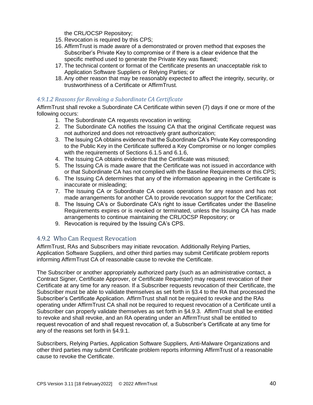the CRL/OCSP Repository;

- 15. Revocation is required by this CPS;
- 16. AffirmTrust is made aware of a demonstrated or proven method that exposes the Subscriber's Private Key to compromise or if there is a clear evidence that the specific method used to generate the Private Key was flawed;
- 17. The technical content or format of the Certificate presents an unacceptable risk to Application Software Suppliers or Relying Parties; or
- 18. Any other reason that may be reasonably expected to affect the integrity, security, or trustworthiness of a Certificate or AffirmTrust.

## *4.9.1.2 Reasons for Revoking a Subordinate CA Certificate*

AffirmTrust shall revoke a Subordinate CA Certificate within seven (7) days if one or more of the following occurs:

- 1. The Subordinate CA requests revocation in writing;
- 2. The Subordinate CA notifies the Issuing CA that the original Certificate request was not authorized and does not retroactively grant authorization;
- 3. The Issuing CA obtains evidence that the Subordinate CA's Private Key corresponding to the Public Key in the Certificate suffered a Key Compromise or no longer complies with the requirements of Sections 6.1.5 and 6.1.6,
- 4. The Issuing CA obtains evidence that the Certificate was misused;
- 5. The Issuing CA is made aware that the Certificate was not issued in accordance with or that Subordinate CA has not complied with the Baseline Requirements or this CPS;
- 6. The Issuing CA determines that any of the information appearing in the Certificate is inaccurate or misleading;
- 7. The Issuing CA or Subordinate CA ceases operations for any reason and has not made arrangements for another CA to provide revocation support for the Certificate;
- 8. The Issuing CA's or Subordinate CA's right to issue Certificates under the Baseline Requirements expires or is revoked or terminated, unless the Issuing CA has made arrangements to continue maintaining the CRL/OCSP Repository; or
- 9. Revocation is required by the Issuing CA's CPS.

# 4.9.2 Who Can Request Revocation

AffirmTrust, RAs and Subscribers may initiate revocation. Additionally Relying Parties, Application Software Suppliers, and other third parties may submit Certificate problem reports informing AffirmTrust CA of reasonable cause to revoke the Certificate.

The Subscriber or another appropriately authorized party (such as an administrative contact, a Contract Signer, Certificate Approver, or Certificate Requester) may request revocation of their Certificate at any time for any reason. If a Subscriber requests revocation of their Certificate, the Subscriber must be able to validate themselves as set forth in §3.4 to the RA that processed the Subscriber's Certificate Application. AffirmTrust shall not be required to revoke and the RAs operating under AffirmTrust CA shall not be required to request revocation of a Certificate until a Subscriber can properly validate themselves as set forth in §4.9.3. AffirmTrust shall be entitled to revoke and shall revoke, and an RA operating under an AffirmTrust shall be entitled to request revocation of and shall request revocation of, a Subscriber's Certificate at any time for any of the reasons set forth in §4.9.1.

Subscribers, Relying Parties, Application Software Suppliers, Anti-Malware Organizations and other third parties may submit Certificate problem reports informing AffirmTrust of a reasonable cause to revoke the Certificate.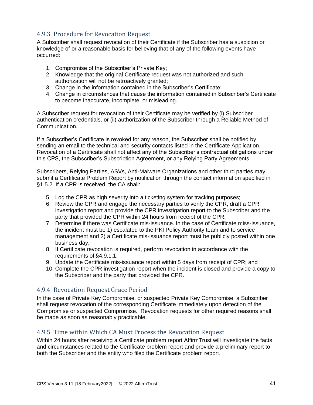# 4.9.3 Procedure for Revocation Request

A Subscriber shall request revocation of their Certificate if the Subscriber has a suspicion or knowledge of or a reasonable basis for believing that of any of the following events have occurred:

- 1. Compromise of the Subscriber's Private Key;
- 2. Knowledge that the original Certificate request was not authorized and such authorization will not be retroactively granted;
- 3. Change in the information contained in the Subscriber's Certificate;
- 4. Change in circumstances that cause the information contained in Subscriber's Certificate to become inaccurate, incomplete, or misleading.

A Subscriber request for revocation of their Certificate may be verified by (i) Subscriber authentication credentials, or (ii) authorization of the Subscriber through a Reliable Method of Communication. .

If a Subscriber's Certificate is revoked for any reason, the Subscriber shall be notified by sending an email to the technical and security contacts listed in the Certificate Application. Revocation of a Certificate shall not affect any of the Subscriber's contractual obligations under this CPS, the Subscriber's Subscription Agreement, or any Relying Party Agreements.

Subscribers, Relying Parties, ASVs, Anti-Malware Organizations and other third parties may submit a Certificate Problem Report by notification through the contact information specified in §1.5.2. If a CPR is received, the CA shall:

- 5. Log the CPR as high severity into a ticketing system for tracking purposes;
- 6. Review the CPR and engage the necessary parties to verify the CPR, draft a CPR investigation report and provide the CPR investigation report to the Subscriber and the party that provided the CPR within 24 hours from receipt of the CPR;
- 7. Determine if there was Certificate mis-issuance. In the case of Certificate miss-issuance, the incident must be 1) escalated to the PKI Policy Authority team and to service management and 2) a Certificate mis-issuance report must be publicly posted within one business day;
- 8. If Certificate revocation is required, perform revocation in accordance with the requirements of §4.9.1.1;
- 9. Update the Certificate mis-issuance report within 5 days from receipt of CPR; and
- 10. Complete the CPR investigation report when the incident is closed and provide a copy to the Subscriber and the party that provided the CPR.

## 4.9.4 Revocation Request Grace Period

In the case of Private Key Compromise, or suspected Private Key Compromise, a Subscriber shall request revocation of the corresponding Certificate immediately upon detection of the Compromise or suspected Compromise. Revocation requests for other required reasons shall be made as soon as reasonably practicable.

# 4.9.5 Time within Which CA Must Process the Revocation Request

Within 24 hours after receiving a Certificate problem report AffirmTrust will investigate the facts and circumstances related to the Certificate problem report and provide a preliminary report to both the Subscriber and the entity who filed the Certificate problem report.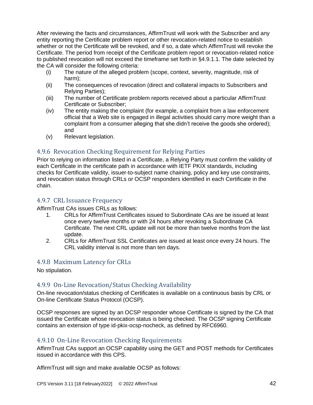After reviewing the facts and circumstances, AffirmTrust will work with the Subscriber and any entity reporting the Certificate problem report or other revocation-related notice to establish whether or not the Certificate will be revoked, and if so, a date which AffirmTrust will revoke the Certificate. The period from receipt of the Certificate problem report or revocation-related notice to published revocation will not exceed the timeframe set forth in §4.9.1.1. The date selected by the CA will consider the following criteria:

- (i) The nature of the alleged problem (scope, context, severity, magnitude, risk of harm);
- (ii) The consequences of revocation (direct and collateral impacts to Subscribers and Relying Parties);
- (iii) The number of Certificate problem reports received about a particular AffirmTrust Certificate or Subscriber;
- (iv) The entity making the complaint (for example, a complaint from a law enforcement official that a Web site is engaged in illegal activities should carry more weight than a complaint from a consumer alleging that she didn't receive the goods she ordered); and
- (v) Relevant legislation.

# 4.9.6 Revocation Checking Requirement for Relying Parties

Prior to relying on information listed in a Certificate, a Relying Party must confirm the validity of each Certificate in the certificate path in accordance with IETF PKIX standards, including checks for Certificate validity, issuer-to-subject name chaining, policy and key use constraints, and revocation status through CRLs or OCSP responders identified in each Certificate in the chain.

## 4.9.7 CRL Issuance Frequency

AffirmTrust CAs issues CRLs as follows:

- 1. CRLs for AffirmTrust Certificates issued to Subordinate CAs are be issued at least once every twelve months or with 24 hours after revoking a Subordinate CA Certificate. The next CRL update will not be more than twelve months from the last update.
- 2. CRLs for AffirmTrust SSL Certificates are issued at least once every 24 hours. The CRL validity interval is not more than ten days.

## 4.9.8 Maximum Latency for CRLs

No stipulation.

## 4.9.9 On-Line Revocation/Status Checking Availability

On-line revocation/status checking of Certificates is available on a continuous basis by CRL or On-line Certificate Status Protocol (OCSP).

OCSP responses are signed by an OCSP responder whose Certificate is signed by the CA that issued the Certificate whose revocation status is being checked. The OCSP signing Certificate contains an extension of type id-pkix-ocsp-nocheck, as defined by RFC6960.

## 4.9.10 On-Line Revocation Checking Requirements

AffirmTrust CAs support an OCSP capability using the GET and POST methods for Certificates issued in accordance with this CPS.

AffirmTrust will sign and make available OCSP as follows: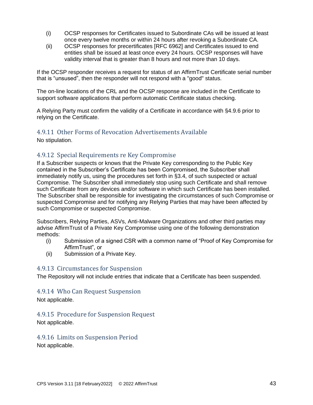- (i) OCSP responses for Certificates issued to Subordinate CAs will be issued at least once every twelve months or within 24 hours after revoking a Subordinate CA.
- (ii) OCSP responses for precertificates [RFC 6962] and Certificates issued to end entities shall be issued at least once every 24 hours. OCSP responses will have validity interval that is greater than 8 hours and not more than 10 days.

If the OCSP responder receives a request for status of an AffirmTrust Certificate serial number that is "unsused", then the responder will not respond with a "good" status.

The on-line locations of the CRL and the OCSP response are included in the Certificate to support software applications that perform automatic Certificate status checking.

A Relying Party must confirm the validity of a Certificate in accordance with §4.9.6 prior to relying on the Certificate.

# 4.9.11 Other Forms of Revocation Advertisements Available

No stipulation.

# 4.9.12 Special Requirements re Key Compromise

If a Subscriber suspects or knows that the Private Key corresponding to the Public Key contained in the Subscriber's Certificate has been Compromised, the Subscriber shall immediately notify us, using the procedures set forth in §3.4, of such suspected or actual Compromise. The Subscriber shall immediately stop using such Certificate and shall remove such Certificate from any devices and/or software in which such Certificate has been installed. The Subscriber shall be responsible for investigating the circumstances of such Compromise or suspected Compromise and for notifying any Relying Parties that may have been affected by such Compromise or suspected Compromise.

Subscribers, Relying Parties, ASVs, Anti-Malware Organizations and other third parties may advise AffirmTrust of a Private Key Compromise using one of the following demonstration methods:

- (i) Submission of a signed CSR with a common name of "Proof of Key Compromise for AffirmTrust", or
- (ii) Submission of a Private Key.

#### 4.9.13 Circumstances for Suspension

The Repository will not include entries that indicate that a Certificate has been suspended.

## 4.9.14 Who Can Request Suspension

Not applicable.

## 4.9.15 Procedure for Suspension Request

Not applicable.

## 4.9.16 Limits on Suspension Period

Not applicable.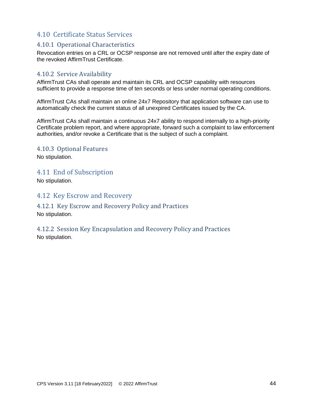# 4.10 Certificate Status Services

## 4.10.1 Operational Characteristics

Revocation entries on a CRL or OCSP response are not removed until after the expiry date of the revoked AffirmTrust Certificate.

# 4.10.2 Service Availability

AffirmTrust CAs shall operate and maintain its CRL and OCSP capability with resources sufficient to provide a response time of ten seconds or less under normal operating conditions.

AffirmTrust CAs shall maintain an online 24x7 Repository that application software can use to automatically check the current status of all unexpired Certificates issued by the CA.

AffirmTrust CAs shall maintain a continuous 24x7 ability to respond internally to a high-priority Certificate problem report, and where appropriate, forward such a complaint to law enforcement authorities, and/or revoke a Certificate that is the subject of such a complaint.

4.10.3 Optional Features No stipulation.

4.11 End of Subscription

No stipulation.

4.12 Key Escrow and Recovery

4.12.1 Key Escrow and Recovery Policy and Practices No stipulation.

4.12.2 Session Key Encapsulation and Recovery Policy and Practices No stipulation.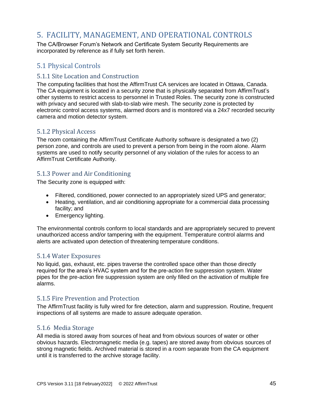# 5. FACILITY, MANAGEMENT, AND OPERATIONAL CONTROLS

The CA/Browser Forum's Network and Certificate System Security Requirements are incorporated by reference as if fully set forth herein.

# 5.1 Physical Controls

## 5.1.1 Site Location and Construction

The computing facilities that host the AffirmTrust CA services are located in Ottawa, Canada. The CA equipment is located in a security zone that is physically separated from AffirmTrust's other systems to restrict access to personnel in Trusted Roles. The security zone is constructed with privacy and secured with slab-to-slab wire mesh. The security zone is protected by electronic control access systems, alarmed doors and is monitored via a 24x7 recorded security camera and motion detector system.

# 5.1.2 Physical Access

The room containing the AffirmTrust Certificate Authority software is designated a two (2) person zone, and controls are used to prevent a person from being in the room alone. Alarm systems are used to notify security personnel of any violation of the rules for access to an AffirmTrust Certificate Authority.

# 5.1.3 Power and Air Conditioning

The Security zone is equipped with:

- Filtered, conditioned, power connected to an appropriately sized UPS and generator;
- Heating, ventilation, and air conditioning appropriate for a commercial data processing facility; and
- Emergency lighting.

The environmental controls conform to local standards and are appropriately secured to prevent unauthorized access and/or tampering with the equipment. Temperature control alarms and alerts are activated upon detection of threatening temperature conditions.

## 5.1.4 Water Exposures

No liquid, gas, exhaust, etc. pipes traverse the controlled space other than those directly required for the area's HVAC system and for the pre-action fire suppression system. Water pipes for the pre-action fire suppression system are only filled on the activation of multiple fire alarms.

## 5.1.5 Fire Prevention and Protection

The AffirmTrust facility is fully wired for fire detection, alarm and suppression. Routine, frequent inspections of all systems are made to assure adequate operation.

## 5.1.6 Media Storage

All media is stored away from sources of heat and from obvious sources of water or other obvious hazards. Electromagnetic media (e.g. tapes) are stored away from obvious sources of strong magnetic fields. Archived material is stored in a room separate from the CA equipment until it is transferred to the archive storage facility.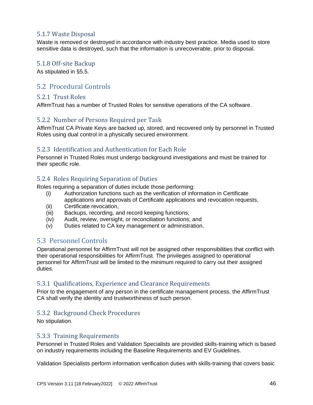# 5.1.7 Waste Disposal

Waste is removed or destroyed in accordance with industry best practice. Media used to store sensitive data is destroyed, such that the information is unrecoverable, prior to disposal.

#### 5.1.8 Off-site Backup

As stipulated in §5.5.

# 5.2 Procedural Controls

#### 5.2.1 Trust Roles

AffirmTrust has a number of Trusted Roles for sensitive operations of the CA software.

## 5.2.2 Number of Persons Required per Task

AffirmTrust CA Private Keys are backed up, stored, and recovered only by personnel in Trusted Roles using dual control in a physically secured environment.

# 5.2.3 Identification and Authentication for Each Role

Personnel in Trusted Roles must undergo background investigations and must be trained for their specific role.

## 5.2.4 Roles Requiring Separation of Duties

Roles requiring a separation of duties include those performing:

- (i) Authorization functions such as the verification of information in Certificate applications and approvals of Certificate applications and revocation requests,
- (ii) Certificate revocation,
- (iii) Backups, recording, and record keeping functions;
- (iv) Audit, review, oversight, or reconciliation functions; and
- (v) Duties related to CA key management or administration.

# 5.3 Personnel Controls

Operational personnel for AffirmTrust will not be assigned other responsibilities that conflict with their operational responsibilities for AffirmTrust. The privileges assigned to operational personnel for AffirmTrust will be limited to the minimum required to carry out their assigned duties.

## 5.3.1 Qualifications, Experience and Clearance Requirements

Prior to the engagement of any person in the certificate management process, the AffirmTrust CA shall verify the identity and trustworthiness of such person.

## 5.3.2 Background Check Procedures

No stipulation.

#### 5.3.3 Training Requirements

Personnel in Trusted Roles and Validation Specialists are provided skills-training which is based on industry requirements including the Baseline Requirements and EV Guidelines.

Validation Specialists perform information verification duties with skills-training that covers basic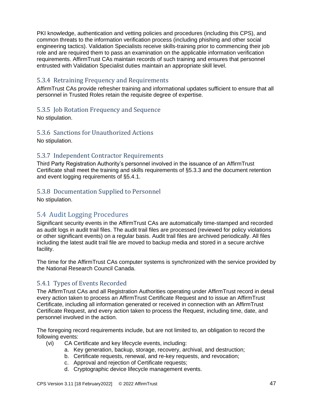PKI knowledge, authentication and vetting policies and procedures (including this CPS), and common threats to the information verification process (including phishing and other social engineering tactics). Validation Specialists receive skills-training prior to commencing their job role and are required them to pass an examination on the applicable information verification requirements. AffirmTrust CAs maintain records of such training and ensures that personnel entrusted with Validation Specialist duties maintain an appropriate skill level.

# 5.3.4 Retraining Frequency and Requirements

AffirmTrust CAs provide refresher training and informational updates sufficient to ensure that all personnel in Trusted Roles retain the requisite degree of expertise.

# 5.3.5 Job Rotation Frequency and Sequence

No stipulation.

# 5.3.6 Sanctions for Unauthorized Actions

No stipulation.

# 5.3.7 Independent Contractor Requirements

Third Party Registration Authority's personnel involved in the issuance of an AffirmTrust Certificate shall meet the training and skills requirements of §5.3.3 and the document retention and event logging requirements of §5.4.1.

# 5.3.8 Documentation Supplied to Personnel

No stipulation.

# 5.4 Audit Logging Procedures

Significant security events in the AffirmTrust CAs are automatically time-stamped and recorded as audit logs in audit trail files. The audit trail files are processed (reviewed for policy violations or other significant events) on a regular basis. Audit trail files are archived periodically. All files including the latest audit trail file are moved to backup media and stored in a secure archive facility.

The time for the AffirmTrust CAs computer systems is synchronized with the service provided by the National Research Council Canada.

# 5.4.1 Types of Events Recorded

The AffirmTrust CAs and all Registration Authorities operating under AffirmTrust record in detail every action taken to process an AffirmTrust Certificate Request and to issue an AffirmTrust Certificate, including all information generated or received in connection with an AffirmTrust Certificate Request, and every action taken to process the Request, including time, date, and personnel involved in the action.

The foregoing record requirements include, but are not limited to, an obligation to record the following events:

- (vi) CA Certificate and key lifecycle events, including:
	- a. Key generation, backup, storage, recovery, archival, and destruction;
	- b. Certificate requests, renewal, and re-key requests, and revocation;
	- c. Approval and rejection of Certificate requests;
	- d. Cryptographic device lifecycle management events.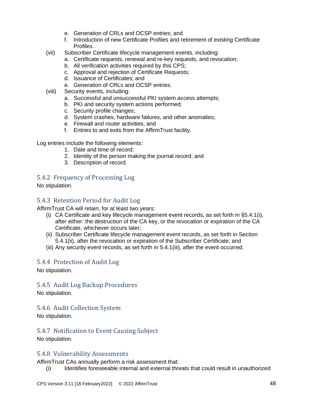- e. Generation of CRLs and OCSP entries; and
- f. Introduction of new Certificate Profiles and retirement of existing Certificate Profiles.
- (vii) Subscriber Certificate lifecycle management events, including:
	- a. Certificate requests, renewal and re-key requests, and revocation;
	- b. All verification activities required by this CPS;
	- c. Approval and rejection of Certificate Requests;
	- d. Issuance of Certificates; and
	- e. Generation of CRLs and OCSP entries.
- (viii) Security events, including:
	- a. Successful and unsuccessful PKI system access attempts;
	- b. PKI and security system actions performed;
	- c. Security profile changes;
	- d. System crashes, hardware failures, and other anomalies;
	- e. Firewall and router activities; and
	- f. Entries to and exits from the AffirmTrust facility.

Log entries include the following elements:

- 1. Date and time of record;
- 2. Identity of the person making the journal record; and
- 3. Description of record.

## 5.4.2 Frequency of Processing Log

No stipulation.

# 5.4.3 Retention Period for Audit Log

AffirmTrust CA will retain, for at least two years:

- (i) CA Certificate and key lifecycle management event records, as set forth in §5.4.1(i), after either: the destruction of the CA key, or the revocation or expiration of the CA Certificate, whichever occurs later;
- (ii) Subscriber Certificate lifecycle management event records, as set forth in Section 5.4.1(ii), after the revocation or expiration of the Subscriber Certificate; and
- (iii) Any security event records, as set forth in 5.4.1(iii), after the event occurred.

## 5.4.4 Protection of Audit Log

No stipulation.

5.4.5 Audit Log Backup Procedures No stipulation.

## 5.4.6 Audit Collection System

No stipulation.

5.4.7 Notification to Event Causing Subject No stipulation.

# 5.4.8 Vulnerability Assessments

AffirmTrust CAs annually perform a risk assessment that:

(i) Identifies foreseeable internal and external threats that could result in unauthorized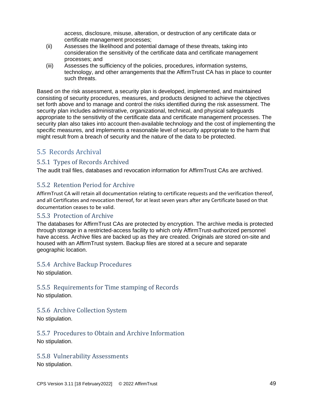access, disclosure, misuse, alteration, or destruction of any certificate data or certificate management processes;

- (ii) Assesses the likelihood and potential damage of these threats, taking into consideration the sensitivity of the certificate data and certificate management processes; and
- (iii) Assesses the sufficiency of the policies, procedures, information systems, technology, and other arrangements that the AffirmTrust CA has in place to counter such threats.

Based on the risk assessment, a security plan is developed, implemented, and maintained consisting of security procedures, measures, and products designed to achieve the objectives set forth above and to manage and control the risks identified during the risk assessment. The security plan includes administrative, organizational, technical, and physical safeguards appropriate to the sensitivity of the certificate data and certificate management processes. The security plan also takes into account then-available technology and the cost of implementing the specific measures, and implements a reasonable level of security appropriate to the harm that might result from a breach of security and the nature of the data to be protected.

# 5.5 Records Archival

# 5.5.1 Types of Records Archived

The audit trail files, databases and revocation information for AffirmTrust CAs are archived.

# 5.5.2 Retention Period for Archive

AffirmTrust CA will retain all documentation relating to certificate requests and the verification thereof, and all Certificates and revocation thereof, for at least seven years after any Certificate based on that documentation ceases to be valid.

## 5.5.3 Protection of Archive

The databases for AffirmTrust CAs are protected by encryption. The archive media is protected through storage in a restricted-access facility to which only AffirmTrust-authorized personnel have access. Archive files are backed up as they are created. Originals are stored on-site and housed with an AffirmTrust system. Backup files are stored at a secure and separate geographic location.

# 5.5.4 Archive Backup Procedures

No stipulation.

# 5.5.5 Requirements for Time stamping of Records

No stipulation.

## 5.5.6 Archive Collection System

No stipulation.

# 5.5.7 Procedures to Obtain and Archive Information

No stipulation.

## 5.5.8 Vulnerability Assessments

No stipulation.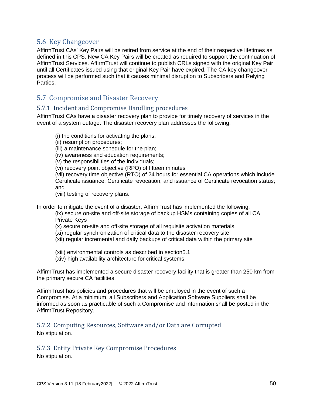# 5.6 Key Changeover

AffirmTrust CAs' Key Pairs will be retired from service at the end of their respective lifetimes as defined in this CPS. New CA Key Pairs will be created as required to support the continuation of AffirmTrust Services. AffirmTrust will continue to publish CRLs signed with the original Key Pair until all Certificates issued using that original Key Pair have expired. The CA key changeover process will be performed such that it causes minimal disruption to Subscribers and Relying Parties.

# 5.7 Compromise and Disaster Recovery

#### 5.7.1 Incident and Compromise Handling procedures

AffirmTrust CAs have a disaster recovery plan to provide for timely recovery of services in the event of a system outage. The disaster recovery plan addresses the following:

(i) the conditions for activating the plans;

(ii) resumption procedures;

(iii) a maintenance schedule for the plan;

(iv) awareness and education requirements;

(v) the responsibilities of the individuals;

(vi) recovery point objective (RPO) of fifteen minutes

(vii) recovery time objective (RTO) of 24 hours for essential CA operations which include Certificate issuance, Certificate revocation, and issuance of Certificate revocation status; and

(viii) testing of recovery plans.

In order to mitigate the event of a disaster, AffirmTrust has implemented the following:

(ix) secure on-site and off-site storage of backup HSMs containing copies of all CA Private Keys

(x) secure on-site and off-site storage of all requisite activation materials

- (xi) regular synchronization of critical data to the disaster recovery site
- (xii) regular incremental and daily backups of critical data within the primary site

(xiii) environmental controls as described in section5.1

(xiv) high availability architecture for critical systems

AffirmTrust has implemented a secure disaster recovery facility that is greater than 250 km from the primary secure CA facilities.

AffirmTrust has policies and procedures that will be employed in the event of such a Compromise. At a minimum, all Subscribers and Application Software Suppliers shall be informed as soon as practicable of such a Compromise and information shall be posted in the AffirmTrust Repository.

5.7.2 Computing Resources, Software and/or Data are Corrupted

No stipulation.

5.7.3 Entity Private Key Compromise Procedures

No stipulation.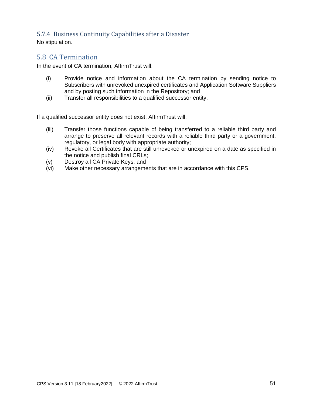# 5.7.4 Business Continuity Capabilities after a Disaster

No stipulation.

# 5.8 CA Termination

In the event of CA termination, AffirmTrust will:

- (i) Provide notice and information about the CA termination by sending notice to Subscribers with unrevoked unexpired certificates and Application Software Suppliers and by posting such information in the Repository; and
- (ii) Transfer all responsibilities to a qualified successor entity.

If a qualified successor entity does not exist, AffirmTrust will:

- (iii) Transfer those functions capable of being transferred to a reliable third party and arrange to preserve all relevant records with a reliable third party or a government, regulatory, or legal body with appropriate authority;
- (iv) Revoke all Certificates that are still unrevoked or unexpired on a date as specified in the notice and publish final CRLs;
- (v) Destroy all CA Private Keys; and
- (vi) Make other necessary arrangements that are in accordance with this CPS.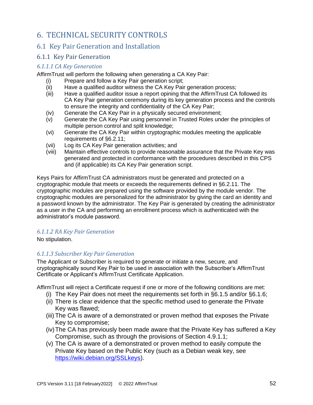# 6. TECHNICAL SECURITY CONTROLS

# 6.1 Key Pair Generation and Installation

# 6.1.1 Key Pair Generation

## *6.1.1.1 CA Key Generation*

AffirmTrust will perform the following when generating a CA Key Pair:

- (i) Prepare and follow a Key Pair generation script;
- (ii) Have a qualified auditor witness the CA Key Pair generation process;
- (iii) Have a qualified auditor issue a report opining that the AffirmTrust CA followed its CA Key Pair generation ceremony during its key generation process and the controls to ensure the integrity and confidentiality of the CA Key Pair;
- (iv) Generate the CA Key Pair in a physically secured environment;
- (v) Generate the CA Key Pair using personnel in Trusted Roles under the principles of multiple person control and split knowledge;
- (vi) Generate the CA Key Pair within cryptographic modules meeting the applicable requirements of §6.2.11;
- (vii) Log its CA Key Pair generation activities; and
- (viii) Maintain effective controls to provide reasonable assurance that the Private Key was generated and protected in conformance with the procedures described in this CPS and (if applicable) its CA Key Pair generation script.

Keys Pairs for AffirmTrust CA administrators must be generated and protected on a cryptographic module that meets or exceeds the requirements defined in §6.2.11. The cryptographic modules are prepared using the software provided by the module vendor. The cryptographic modules are personalized for the administrator by giving the card an identity and a password known by the administrator. The Key Pair is generated by creating the administrator as a user in the CA and performing an enrollment process which is authenticated with the administrator's module password.

## *6.1.1.2 RA Key Pair Generation*

No stipulation.

## *6.1.1.3 Subscriber Key Pair Generation*

The Applicant or Subscriber is required to generate or initiate a new, secure, and cryptographically sound Key Pair to be used in association with the Subscriber's AffirmTrust Certificate or Applicant's AffirmTrust Certificate Application.

AffirmTrust will reject a Certificate request if one or more of the following conditions are met:

- (i) The Key Pair does not meet the requirements set forth in §6.1.5 and/or §6.1.6;
- (ii) There is clear evidence that the specific method used to generate the Private Key was flawed;
- (iii) The CA is aware of a demonstrated or proven method that exposes the Private Key to compromise;
- (iv)The CA has previously been made aware that the Private Key has suffered a Key Compromise, such as through the provisions of Section 4.9.1.1;
- (v) The CA is aware of a demonstrated or proven method to easily compute the Private Key based on the Public Key (such as a Debian weak key, see [https://wiki.debian.org/SSLkeys\)](https://wiki.debian.org/SSLkeys).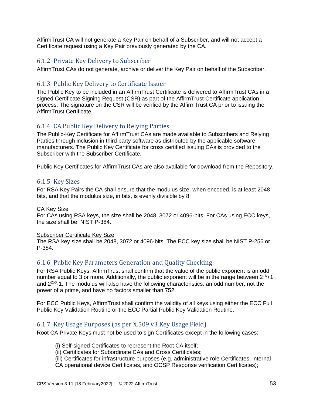AffirmTrust CA will not generate a Key Pair on behalf of a Subscriber, and will not accept a Certificate request using a Key Pair previously generated by the CA.

## 6.1.2 Private Key Delivery to Subscriber

AffirmTrust CAs do not generate, archive or deliver the Key Pair on behalf of the Subscriber.

## 6.1.3 Public Key Delivery to Certificate Issuer

The Public Key to be included in an AffirmTrust Certificate is delivered to AffirmTrust CAs in a signed Certificate Signing Request (CSR) as part of the AffirmTrust Certificate application process. The signature on the CSR will be verified by the AffirmTrust CA prior to issuing the AffirmTrust Certificate.

# 6.1.4 CA Public Key Delivery to Relying Parties

The Public-Key Certificate for AffirmTrust CAs are made available to Subscribers and Relying Parties through inclusion in third party software as distributed by the applicable software manufacturers. The Public Key Certificate for cross certified issuing CAs is provided to the Subscriber with the Subscriber Certificate.

Public Key Certificates for AffirmTrust CAs are also available for download from the Repository.

## 6.1.5 Key Sizes

For RSA Key Pairs the CA shall ensure that the modulus size, when encoded, is at least 2048 bits, and that the modulus size, in bits, is evenly divisible by 8.

#### CA Key Size

For CAs using RSA keys, the size shall be 2048, 3072 or 4096-bits. For CAs using ECC keys, the size shall be NIST P-384.

#### Subscriber Certificate Key Size

The RSA key size shall be 2048, 3072 or 4096-bits. The ECC key size shall be NIST P-256 or P-384.

## 6.1.6 Public Key Parameters Generation and Quality Checking

For RSA Public Keys, AffirmTrust shall confirm that the value of the public exponent is an odd number equal to 3 or more. Additionally, the public exponent will be in the range between  $2^{16}+1$ and 2<sup>256</sup>-1. The modulus will also have the following characteristics: an odd number, not the power of a prime, and have no factors smaller than 752.

For ECC Public Keys, AffirmTrust shall confirm the validity of all keys using either the ECC Full Public Key Validation Routine or the ECC Partial Public Key Validation Routine.

#### 6.1.7 Key Usage Purposes (as per X.509 v3 Key Usage Field)

Root CA Private Keys must not be used to sign Certificates except in the following cases:

- (i) Self-signed Certificates to represent the Root CA itself;
- (ii) Certificates for Subordinate CAs and Cross Certificates;

(iii) Certificates for infrastructure purposes (e.g. administrative role Certificates, internal CA operational device Certificates, and OCSP Response verification Certificates);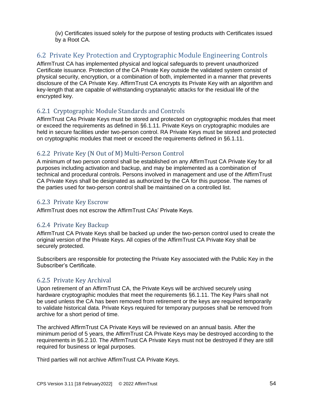(iv) Certificates issued solely for the purpose of testing products with Certificates issued by a Root CA.

# 6.2 Private Key Protection and Cryptographic Module Engineering Controls

AffirmTrust CA has implemented physical and logical safeguards to prevent unauthorized Certificate issuance. Protection of the CA Private Key outside the validated system consist of physical security, encryption, or a combination of both, implemented in a manner that prevents disclosure of the CA Private Key. AffirmTrust CA encrypts its Private Key with an algorithm and key-length that are capable of withstanding cryptanalytic attacks for the residual life of the encrypted key.

# 6.2.1 Cryptographic Module Standards and Controls

AffirmTrust CAs Private Keys must be stored and protected on cryptographic modules that meet or exceed the requirements as defined in §6.1.11. Private Keys on cryptographic modules are held in secure facilities under two-person control. RA Private Keys must be stored and protected on cryptographic modules that meet or exceed the requirements defined in §6.1.11.

# 6.2.2 Private Key (N Out of M) Multi-Person Control

A minimum of two person control shall be established on any AffirmTrust CA Private Key for all purposes including activation and backup, and may be implemented as a combination of technical and procedural controls. Persons involved in management and use of the AffirmTrust CA Private Keys shall be designated as authorized by the CA for this purpose. The names of the parties used for two-person control shall be maintained on a controlled list.

# 6.2.3 Private Key Escrow

AffirmTrust does not escrow the AffirmTrust CAs' Private Keys.

# 6.2.4 Private Key Backup

AffirmTrust CA Private Keys shall be backed up under the two-person control used to create the original version of the Private Keys. All copies of the AffirmTrust CA Private Key shall be securely protected.

Subscribers are responsible for protecting the Private Key associated with the Public Key in the Subscriber's Certificate.

# 6.2.5 Private Key Archival

Upon retirement of an AffirmTrust CA, the Private Keys will be archived securely using hardware cryptographic modules that meet the requirements §6.1.11. The Key Pairs shall not be used unless the CA has been removed from retirement or the keys are required temporarily to validate historical data. Private Keys required for temporary purposes shall be removed from archive for a short period of time.

The archived AffirmTrust CA Private Keys will be reviewed on an annual basis. After the minimum period of 5 years, the AffirmTrust CA Private Keys may be destroyed according to the requirements in §6.2.10. The AffirmTrust CA Private Keys must not be destroyed if they are still required for business or legal purposes.

Third parties will not archive AffirmTrust CA Private Keys.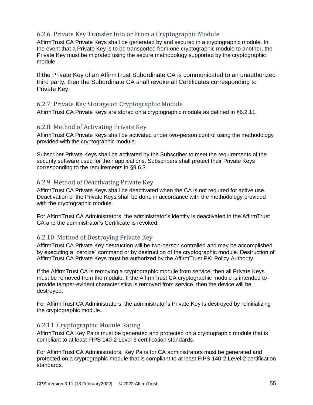# 6.2.6 Private Key Transfer Into or From a Cryptographic Module

AffirmTrust CA Private Keys shall be generated by and secured in a cryptographic module. In the event that a Private Key is to be transported from one cryptographic module to another, the Private Key must be migrated using the secure methodology supported by the cryptographic module.

If the Private Key of an AffirmTrust Subordinate CA is communicated to an unauthorized third party, then the Subordinate CA shall revoke all Certificates corresponding to Private Key.

# 6.2.7 Private Key Storage on Cryptographic Module

AffirmTrust CA Private Keys are stored on a cryptographic module as defined in §6.2.11.

#### 6.2.8 Method of Activating Private Key

AffirmTrust CA Private Keys shall be activated under two-person control using the methodology provided with the cryptographic module.

Subscriber Private Keys shall be activated by the Subscriber to meet the requirements of the security software used for their applications. Subscribers shall protect their Private Keys corresponding to the requirements in §9.6.3.

# 6.2.9 Method of Deactivating Private Key

AffirmTrust CA Private Keys shall be deactivated when the CA is not required for active use. Deactivation of the Private Keys shall be done in accordance with the methodology provided with the cryptographic module.

For AffirmTrust CA Administrators, the administrator's identity is deactivated in the AffirmTrust CA and the administrator's Certificate is revoked.

## 6.2.10 Method of Destroying Private Key

AffirmTrust CA Private Key destruction will be two-person controlled and may be accomplished by executing a "zeroize" command or by destruction of the cryptographic module. Destruction of AffirmTrust CA Private Keys must be authorized by the AffirmTrust PKI Policy Authority.

If the AffirmTrust CA is removing a cryptographic module from service, then all Private Keys must be removed from the module. If the AffirmTrust CA cryptographic module is intended to provide tamper-evident characteristics is removed from service, then the device will be destroyed.

For AffirmTrust CA Administrators, the administrator's Private Key is destroyed by reinitializing the cryptographic module.

# 6.2.11 Cryptographic Module Rating

AffirmTrust CA Key Pairs must be generated and protected on a cryptographic module that is compliant to at least FIPS 140-2 Level 3 certification standards.

For AffirmTrust CA Administrators, Key Pairs for CA administrators must be generated and protected on a cryptographic module that is compliant to at least FIPS 140-2 Level 2 certification standards.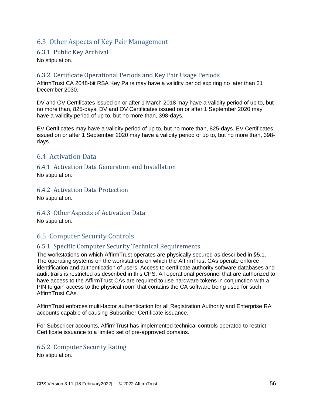# 6.3 Other Aspects of Key Pair Management

#### 6.3.1 Public Key Archival

No stipulation.

# 6.3.2 Certificate Operational Periods and Key Pair Usage Periods

AffirmTrust CA 2048-bit RSA Key Pairs may have a validity period expiring no later than 31 December 2030.

DV and OV Certificates issued on or after 1 March 2018 may have a validity period of up to, but no more than, 825-days. DV and OV Certificates issued on or after 1 September 2020 may have a validity period of up to, but no more than, 398-days.

EV Certificates may have a validity period of up to, but no more than, 825-days. EV Certificates issued on or after 1 September 2020 may have a validity period of up to, but no more than, 398 days.

# 6.4 Activation Data

## 6.4.1 Activation Data Generation and Installation

No stipulation.

## 6.4.2 Activation Data Protection

No stipulation.

#### 6.4.3 Other Aspects of Activation Data

No stipulation.

# 6.5 Computer Security Controls

## 6.5.1 Specific Computer Security Technical Requirements

The workstations on which AffirmTrust operates are physically secured as described in §5.1. The operating systems on the workstations on which the AffirmTrust CAs operate enforce identification and authentication of users. Access to certificate authority software databases and audit trails is restricted as described in this CPS. All operational personnel that are authorized to have access to the AffirmTrust CAs are required to use hardware tokens in conjunction with a PIN to gain access to the physical room that contains the CA software being used for such AffirmTrust CAs.

AffirmTrust enforces multi-factor authentication for all Registration Authority and Enterprise RA accounts capable of causing Subscriber Certificate issuance.

For Subscriber accounts, AffirmTrust has implemented technical controls operated to restrict Certificate issuance to a limited set of pre-approved domains.

#### 6.5.2 Computer Security Rating

No stipulation.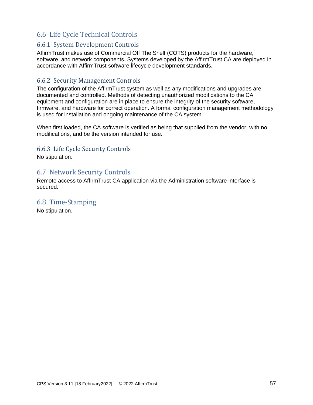# 6.6 Life Cycle Technical Controls

# 6.6.1 System Development Controls

AffirmTrust makes use of Commercial Off The Shelf (COTS) products for the hardware, software, and network components. Systems developed by the AffirmTrust CA are deployed in accordance with AffirmTrust software lifecycle development standards.

# 6.6.2 Security Management Controls

The configuration of the AffirmTrust system as well as any modifications and upgrades are documented and controlled. Methods of detecting unauthorized modifications to the CA equipment and configuration are in place to ensure the integrity of the security software, firmware, and hardware for correct operation. A formal configuration management methodology is used for installation and ongoing maintenance of the CA system.

When first loaded, the CA software is verified as being that supplied from the vendor, with no modifications, and be the version intended for use.

# 6.6.3 Life Cycle Security Controls

No stipulation.

# 6.7 Network Security Controls

Remote access to AffirmTrust CA application via the Administration software interface is secured.

# 6.8 Time-Stamping

No stipulation.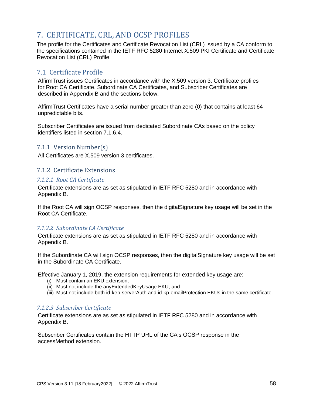# 7. CERTIFICATE, CRL, AND OCSP PROFILES

The profile for the Certificates and Certificate Revocation List (CRL) issued by a CA conform to the specifications contained in the IETF RFC 5280 Internet X.509 PKI Certificate and Certificate Revocation List (CRL) Profile.

# 7.1 Certificate Profile

AffirmTrust issues Certificates in accordance with the X.509 version 3. Certificate profiles for Root CA Certificate, Subordinate CA Certificates, and Subscriber Certificates are described in Appendix B and the sections below.

AffirmTrust Certificates have a serial number greater than zero (0) that contains at least 64 unpredictable bits.

Subscriber Certificates are issued from dedicated Subordinate CAs based on the policy identifiers listed in section 7.1.6.4.

# 7.1.1 Version Number(s)

All Certificates are X.509 version 3 certificates.

#### 7.1.2 Certificate Extensions

#### *7.1.2.1 Root CA Certificate*

Certificate extensions are as set as stipulated in IETF RFC 5280 and in accordance with Appendix B.

If the Root CA will sign OCSP responses, then the digitalSignature key usage will be set in the Root CA Certificate.

#### *7.1.2.2 Subordinate CA Certificate*

Certificate extensions are as set as stipulated in IETF RFC 5280 and in accordance with Appendix B.

If the Subordinate CA will sign OCSP responses, then the digitalSignature key usage will be set in the Subordinate CA Certificate.

Effective January 1, 2019, the extension requirements for extended key usage are:

- (i) Must contain an EKU extension,
- (ii) Must not include the anyExtendedKeyUsage EKU, and
- (iii) Must not include both id-kep-serverAuth and id-kp-emailProtection EKUs in the same certificate.

#### *7.1.2.3 Subscriber Certificate*

Certificate extensions are as set as stipulated in IETF RFC 5280 and in accordance with Appendix B.

Subscriber Certificates contain the HTTP URL of the CA's OCSP response in the accessMethod extension.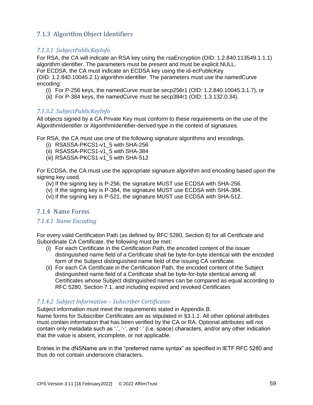# 7.1.3 Algorithm Object Identifiers

## *7.1.3.1 SubjectPublicKeyInfo*

For RSA, the CA will indicate an RSA key using the rsaEncryption (OID: 1.2.840.113549.1.1.1) algorithm identifier. The parameters must be present and must be explicit NULL.

For ECDSA, the CA must indicate an ECDSA key using the id-ecPublicKey

(OID: 1.2.840.10045.2.1) algorithm identifier. The parameters must use the namedCurve encoding:

- (i) For P-256 keys, the namedCurve must be secp256r1 (OID: 1.2.840.10045.3.1.7), or
- (ii) For P-384 keys, the namedCurve must be secp384r1 (OID: 1.3.132.0.34).

#### *7.1.3.2 SubjectPublicKeyInfo*

All objects signed by a CA Private Key must conform to these requirements on the use of the AlgorithmIdentifier or AlgorithmIdentifier-derived type in the context of signatures.

For RSA, the CA must use one of the following signature algorithms and encodings.

- (i) RSASSA-PKCS1-v1\_5 with SHA-256
- (ii) RSASSA-PKCS1-v1\_5 with SHA-384
- (iii) RSASSA-PKCS1-v1\_5 with SHA-512

For ECDSA, the CA must use the appropriate signature algorithm and encoding based upon the signing key used.

- (iv) If the signing key is P-256, the signature MUST use ECDSA with SHA-256.
- (v) If the signing key is P-384, the signature MUST use ECDSA with SHA-384.
- (vi) If the signing key is P-521, the signature MUST use ECDSA with SHA-512.

## 7.1.4 Name Forms

#### *7.1.4.1 Name Encoding*

For every valid Certification Path (as defined by RFC 5280, Section 6) for all Certificate and Subordinate CA Certificate, the following must be met:

- (i) For each Certificate in the Certification Path, the encoded content of the issuer distinguished name field of a Certificate shall be byte-for-byte identical with the encoded form of the Subject distinguished name field of the issuing CA certificate.
- (ii) For each CA Certificate in the Certification Path, the encoded content of the Subject distinguished name field of a Certificate shall be byte-for-byte identical among all Certificates whose Subject distinguished names can be compared as equal according to RFC 5280, Section 7.1, and including expired and revoked Certificates

## *7.1.4.2 Subject Information – Subscriber Certificates*

Subject information must meet the requirements stated in Appendix B.

Name forms for Subscriber Certificates are as stipulated in §3.1.1. All other optional attributes must contain information that has been verified by the CA or RA. Optional attributes will not contain only metadata such as '.', '‐', and ' ' (i.e. space) characters, and/or any other indication that the value is absent, incomplete, or not applicable.

Entries in the dNSName are in the "preferred name syntax" as specified in IETF RFC 5280 and thus do not contain underscore characters.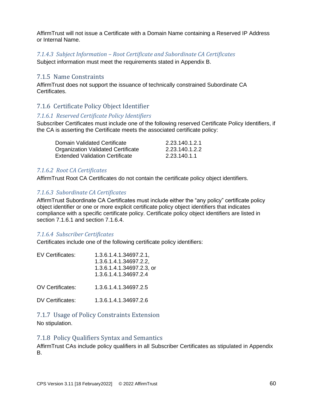AffirmTrust will not issue a Certificate with a Domain Name containing a Reserved IP Address or Internal Name.

#### *7.1.4.3 Subject Information – Root Certificate and Subordinate CA Certificates*

Subject information must meet the requirements stated in Appendix B.

#### 7.1.5 Name Constraints

AffirmTrust does not support the issuance of technically constrained Subordinate CA Certificates.

# 7.1.6 Certificate Policy Object Identifier

#### *7.1.6.1 Reserved Certificate Policy Identifiers*

Subscriber Certificates must include one of the following reserved Certificate Policy Identifiers, if the CA is asserting the Certificate meets the associated certificate policy:

| Domain Validated Certificate       | 2.23.140.1.2.1 |
|------------------------------------|----------------|
| Organization Validated Certificate | 2.23.140.1.2.2 |
| Extended Validation Certificate    | 2.23.140.1.1   |

#### *7.1.6.2 Root CA Certificates*

AffirmTrust Root CA Certificates do not contain the certificate policy object identifiers.

#### *7.1.6.3 Subordinate CA Certificates*

AffirmTrust Subordinate CA Certificates must include either the "any policy" certificate policy object identifier or one or more explicit certificate policy object identifiers that indicates compliance with a specific certificate policy. Certificate policy object identifiers are listed in section 7.1.6.1 and section 7.1.6.4.

#### *7.1.6.4 Subscriber Certificates*

Certificates include one of the following certificate policy identifiers:

| EV Certificates:        | 1.3.6.1.4.1.34697.2.1,<br>1.3.6.1.4.1.34697.2.2,<br>1.3.6.1.4.1.34697.2.3, or<br>1.3.6.1.4.1.34697.2.4 |
|-------------------------|--------------------------------------------------------------------------------------------------------|
| <b>OV Certificates:</b> | 1.3.6.1.4.1.34697.2.5                                                                                  |
| DV Certificates:        | 1.3.6.1.4.1.34697.2.6                                                                                  |

## 7.1.7 Usage of Policy Constraints Extension

No stipulation.

#### 7.1.8 Policy Qualifiers Syntax and Semantics

AffirmTrust CAs include policy qualifiers in all Subscriber Certificates as stipulated in Appendix B.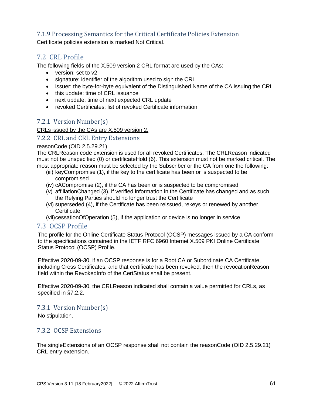# 7.1.9 Processing Semantics for the Critical Certificate Policies Extension

Certificate policies extension is marked Not Critical.

# 7.2 CRL Profile

The following fields of the X.509 version 2 CRL format are used by the CAs:

- version: set to v2
- signature: identifier of the algorithm used to sign the CRL
- issuer: the byte-for-byte equivalent of the Distinguished Name of the CA issuing the CRL
- this update: time of CRL issuance
- next update: time of next expected CRL update
- revoked Certificates: list of revoked Certificate information

# 7.2.1 Version Number(s)

CRLs issued by the CAs are X.509 version 2.

#### 7.2.2 CRL and CRL Entry Extensions

#### reasonCode (OID 2.5.29.21)

The CRLReason code extension is used for all revoked Certificates. The CRLReason indicated must not be unspecified (0) or certificateHold (6). This extension must not be marked critical. The most appropriate reason must be selected by the Subscriber or the CA from one the following:

- (iii) keyCompromise (1), if the key to the certificate has been or is suspected to be compromised
- (iv) cACompromise (2), if the CA has been or is suspected to be compromised
- (v) affiliationChanged (3), if verified information in the Certificate has changed and as such the Relying Parties should no longer trust the Certificate
- (vi) superseded (4), if the Certificate has been reissued, rekeys or renewed by another **Certificate**
- (vii)cessationOfOperation (5), if the application or device is no longer in service

## 7.3 OCSP Profile

The profile for the Online Certificate Status Protocol (OCSP) messages issued by a CA conform to the specifications contained in the IETF RFC 6960 Internet X.509 PKI Online Certificate Status Protocol (OCSP) Profile.

Effective 2020-09-30, if an OCSP response is for a Root CA or Subordinate CA Certificate, including Cross Certificates, and that certificate has been revoked, then the revocationReason field within the RevokedInfo of the CertStatus shall be present.

Effective 2020-09-30, the CRLReason indicated shall contain a value permitted for CRLs, as specified in §7.2.2.

## 7.3.1 Version Number(s)

No stipulation.

## 7.3.2 OCSP Extensions

The singleExtensions of an OCSP response shall not contain the reasonCode (OID 2.5.29.21) CRL entry extension.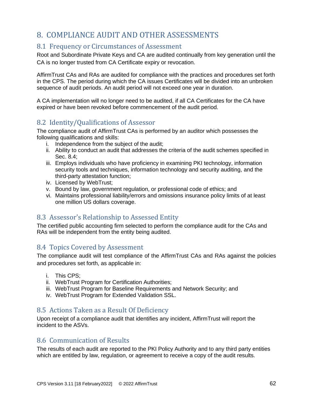# 8. COMPLIANCE AUDIT AND OTHER ASSESSMENTS

# 8.1 Frequency or Circumstances of Assessment

Root and Subordinate Private Keys and CA are audited continually from key generation until the CA is no longer trusted from CA Certificate expiry or revocation.

AffirmTrust CAs and RAs are audited for compliance with the practices and procedures set forth in the CPS. The period during which the CA issues Certificates will be divided into an unbroken sequence of audit periods. An audit period will not exceed one year in duration.

A CA implementation will no longer need to be audited, if all CA Certificates for the CA have expired or have been revoked before commencement of the audit period.

# 8.2 Identity/Qualifications of Assessor

The compliance audit of AffirmTrust CAs is performed by an auditor which possesses the following qualifications and skills:

- i. Independence from the subject of the audit;
- ii. Ability to conduct an audit that addresses the criteria of the audit schemes specified in Sec. 8.4;
- iii. Employs individuals who have proficiency in examining PKI technology, information security tools and techniques, information technology and security auditing, and the third-party attestation function;
- iv. Licensed by WebTrust;
- v. Bound by law, government regulation, or professional code of ethics; and
- vi. Maintains professional liability/errors and omissions insurance policy limits of at least one million US dollars coverage.

# 8.3 Assessor's Relationship to Assessed Entity

The certified public accounting firm selected to perform the compliance audit for the CAs and RAs will be independent from the entity being audited.

# 8.4 Topics Covered by Assessment

The compliance audit will test compliance of the AffirmTrust CAs and RAs against the policies and procedures set forth, as applicable in:

- i. This CPS;
- ii. WebTrust Program for Certification Authorities;
- iii. WebTrust Program for Baseline Requirements and Network Security; and
- iv. WebTrust Program for Extended Validation SSL.

# 8.5 Actions Taken as a Result Of Deficiency

Upon receipt of a compliance audit that identifies any incident, AffirmTrust will report the incident to the ASVs.

## 8.6 Communication of Results

The results of each audit are reported to the PKI Policy Authority and to any third party entities which are entitled by law, regulation, or agreement to receive a copy of the audit results.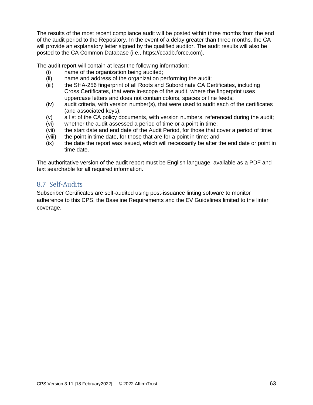The results of the most recent compliance audit will be posted within three months from the end of the audit period to the Repository. In the event of a delay greater than three months, the CA will provide an explanatory letter signed by the qualified auditor. The audit results will also be posted to the CA Common Database (i.e., https://ccadb.force.com).

The audit report will contain at least the following information:

- (i) name of the organization being audited;
- (ii) name and address of the organization performing the audit;
- (iii) the SHA-256 fingerprint of all Roots and Subordinate CA Certificates, including Cross Certificates, that were in-scope of the audit, where the fingerprint uses uppercase letters and does not contain colons, spaces or line feeds;
- (iv) audit criteria, with version number(s), that were used to audit each of the certificates (and associated keys);
- (v) a list of the CA policy documents, with version numbers, referenced during the audit;
- (vi) whether the audit assessed a period of time or a point in time;
- (vii) the start date and end date of the Audit Period, for those that cover a period of time;
- (viii) the point in time date, for those that are for a point in time; and
- (ix) the date the report was issued, which will necessarily be after the end date or point in time date.

The authoritative version of the audit report must be English language, available as a PDF and text searchable for all required information.

# 8.7 Self-Audits

Subscriber Certificates are self-audited using post-issuance linting software to monitor adherence to this CPS, the Baseline Requirements and the EV Guidelines limited to the linter coverage.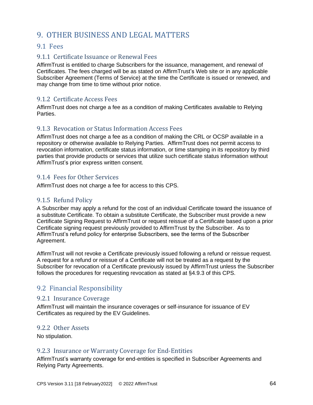# 9. OTHER BUSINESS AND LEGAL MATTERS

# 9.1 Fees

# 9.1.1 Certificate Issuance or Renewal Fees

AffirmTrust is entitled to charge Subscribers for the issuance, management, and renewal of Certificates. The fees charged will be as stated on AffirmTrust's Web site or in any applicable Subscriber Agreement (Terms of Service) at the time the Certificate is issued or renewed, and may change from time to time without prior notice.

# 9.1.2 Certificate Access Fees

AffirmTrust does not charge a fee as a condition of making Certificates available to Relying Parties.

# 9.1.3 Revocation or Status Information Access Fees

AffirmTrust does not charge a fee as a condition of making the CRL or OCSP available in a repository or otherwise available to Relying Parties. AffirmTrust does not permit access to revocation information, certificate status information, or time stamping in its repository by third parties that provide products or services that utilize such certificate status information without AffirmTrust's prior express written consent.

# 9.1.4 Fees for Other Services

AffirmTrust does not charge a fee for access to this CPS.

# 9.1.5 Refund Policy

A Subscriber may apply a refund for the cost of an individual Certificate toward the issuance of a substitute Certificate. To obtain a substitute Certificate, the Subscriber must provide a new Certificate Signing Request to AffirmTrust or request reissue of a Certificate based upon a prior Certificate signing request previously provided to AffirmTrust by the Subscriber. As to AffirmTrust's refund policy for enterprise Subscribers, see the terms of the Subscriber Agreement.

AffirmTrust will not revoke a Certificate previously issued following a refund or reissue request. A request for a refund or reissue of a Certificate will not be treated as a request by the Subscriber for revocation of a Certificate previously issued by AffirmTrust unless the Subscriber follows the procedures for requesting revocation as stated at §4.9.3 of this CPS.

# 9.2 Financial Responsibility

## 9.2.1 Insurance Coverage

AffirmTrust will maintain the insurance coverages or self-insurance for issuance of EV Certificates as required by the EV Guidelines.

## 9.2.2 Other Assets

No stipulation.

## 9.2.3 Insurance or Warranty Coverage for End-Entities

AffirmTrust's warranty coverage for end-entities is specified in Subscriber Agreements and Relying Party Agreements.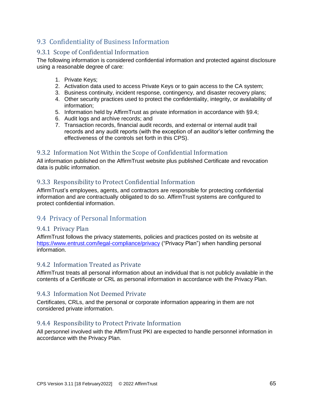# 9.3 Confidentiality of Business Information

# 9.3.1 Scope of Confidential Information

The following information is considered confidential information and protected against disclosure using a reasonable degree of care:

- 1. Private Keys;
- 2. Activation data used to access Private Keys or to gain access to the CA system;
- 3. Business continuity, incident response, contingency, and disaster recovery plans;
- 4. Other security practices used to protect the confidentiality, integrity, or availability of information;
- 5. Information held by AffirmTrust as private information in accordance with §9.4;
- 6. Audit logs and archive records; and
- 7. Transaction records, financial audit records, and external or internal audit trail records and any audit reports (with the exception of an auditor's letter confirming the effectiveness of the controls set forth in this CPS).

# 9.3.2 Information Not Within the Scope of Confidential Information

All information published on the AffirmTrust website plus published Certificate and revocation data is public information.

# 9.3.3 Responsibility to Protect Confidential Information

AffirmTrust's employees, agents, and contractors are responsible for protecting confidential information and are contractually obligated to do so. AffirmTrust systems are configured to protect confidential information.

# 9.4 Privacy of Personal Information

## 9.4.1 Privacy Plan

AffirmTrust follows the privacy statements, policies and practices posted on its website at <https://www.entrust.com/legal-compliance/privacy> ("Privacy Plan") when handling personal information.

## 9.4.2 Information Treated as Private

AffirmTrust treats all personal information about an individual that is not publicly available in the contents of a Certificate or CRL as personal information in accordance with the Privacy Plan.

## 9.4.3 Information Not Deemed Private

Certificates, CRLs, and the personal or corporate information appearing in them are not considered private information.

## 9.4.4 Responsibility to Protect Private Information

All personnel involved with the AffirmTrust PKI are expected to handle personnel information in accordance with the Privacy Plan.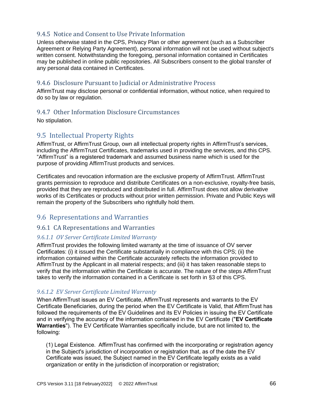# 9.4.5 Notice and Consent to Use Private Information

Unless otherwise stated in the CPS, Privacy Plan or other agreement (such as a Subscriber Agreement or Relying Party Agreement), personal information will not be used without subject's written consent. Notwithstanding the foregoing, personal information contained in Certificates may be published in online public repositories. All Subscribers consent to the global transfer of any personal data contained in Certificates.

## 9.4.6 Disclosure Pursuant to Judicial or Administrative Process

AffirmTrust may disclose personal or confidential information, without notice, when required to do so by law or regulation.

# 9.4.7 Other Information Disclosure Circumstances

No stipulation.

# 9.5 Intellectual Property Rights

AffirmTrust, or AffirmTrust Group, own all intellectual property rights in AffirmTrust's services, including the AffirmTrust Certificates, trademarks used in providing the services, and this CPS. "AffirmTrust" is a registered trademark and assumed business name which is used for the purpose of providing AffirmTrust products and services.

Certificates and revocation information are the exclusive property of AffirmTrust. AffirmTrust grants permission to reproduce and distribute Certificates on a non-exclusive, royalty-free basis, provided that they are reproduced and distributed in full. AffirmTrust does not allow derivative works of its Certificates or products without prior written permission. Private and Public Keys will remain the property of the Subscribers who rightfully hold them.

# 9.6 Representations and Warranties

## 9.6.1 CA Representations and Warranties

## *9.6.1.1 OV Server Certificate Limited Warranty*

AffirmTrust provides the following limited warranty at the time of issuance of OV server Certificates: (i) it issued the Certificate substantially in compliance with this CPS; (ii) the information contained within the Certificate accurately reflects the information provided to AffirmTrust by the Applicant in all material respects; and (iii) it has taken reasonable steps to verify that the information within the Certificate is accurate. The nature of the steps AffirmTrust takes to verify the information contained in a Certificate is set forth in §3 of this CPS.

## *9.6.1.2 EV Server Certificate Limited Warranty*

When AffirmTrust issues an EV Certificate, AffirmTrust represents and warrants to the EV Certificate Beneficiaries, during the period when the EV Certificate is Valid, that AffirmTrust has followed the requirements of the EV Guidelines and its EV Policies in issuing the EV Certificate and in verifying the accuracy of the information contained in the EV Certificate ("**EV Certificate Warranties**"). The EV Certificate Warranties specifically include, but are not limited to, the following:

(1) Legal Existence. AffirmTrust has confirmed with the incorporating or registration agency in the Subject's jurisdiction of incorporation or registration that, as of the date the EV Certificate was issued, the Subject named in the EV Certificate legally exists as a valid organization or entity in the jurisdiction of incorporation or registration;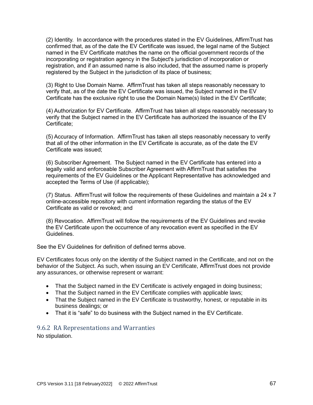(2) Identity. In accordance with the procedures stated in the EV Guidelines, AffirmTrust has confirmed that, as of the date the EV Certificate was issued, the legal name of the Subject named in the EV Certificate matches the name on the official government records of the incorporating or registration agency in the Subject's jurisdiction of incorporation or registration, and if an assumed name is also included, that the assumed name is properly registered by the Subject in the jurisdiction of its place of business;

(3) Right to Use Domain Name. AffirmTrust has taken all steps reasonably necessary to verify that, as of the date the EV Certificate was issued, the Subject named in the EV Certificate has the exclusive right to use the Domain Name(s) listed in the EV Certificate;

(4) Authorization for EV Certificate. AffirmTrust has taken all steps reasonably necessary to verify that the Subject named in the EV Certificate has authorized the issuance of the EV Certificate;

(5) Accuracy of Information. AffirmTrust has taken all steps reasonably necessary to verify that all of the other information in the EV Certificate is accurate, as of the date the EV Certificate was issued;

(6) Subscriber Agreement. The Subject named in the EV Certificate has entered into a legally valid and enforceable Subscriber Agreement with AffirmTrust that satisfies the requirements of the EV Guidelines or the Applicant Representative has acknowledged and accepted the Terms of Use (if applicable);

(7) Status. AffirmTrust will follow the requirements of these Guidelines and maintain a 24 x 7 online-accessible repository with current information regarding the status of the EV Certificate as valid or revoked; and

(8) Revocation. AffirmTrust will follow the requirements of the EV Guidelines and revoke the EV Certificate upon the occurrence of any revocation event as specified in the EV Guidelines.

See the EV Guidelines for definition of defined terms above.

EV Certificates focus only on the identity of the Subject named in the Certificate, and not on the behavior of the Subject. As such, when issuing an EV Certificate, AffirmTrust does not provide any assurances, or otherwise represent or warrant:

- That the Subject named in the EV Certificate is actively engaged in doing business;
- That the Subject named in the EV Certificate complies with applicable laws;
- That the Subject named in the EV Certificate is trustworthy, honest, or reputable in its business dealings; or
- That it is "safe" to do business with the Subject named in the EV Certificate.

#### 9.6.2 RA Representations and Warranties

No stipulation.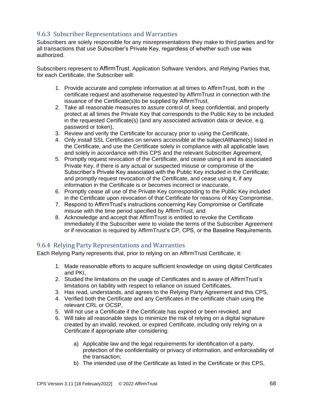# 9.6.3 Subscriber Representations and Warranties

Subscribers are solely responsible for any misrepresentations they make to third parties and for all transactions that use Subscriber's Private Key, regardless of whether such use was authorized.

Subscribers represent to AffirmTrust, Application Software Vendors, and Relying Parties that, for each Certificate, the Subscriber will:

- 1. Provide accurate and complete information at all times to AffirmTrust, both in the certificate request and asotherwise requested by AffirmTrust in connection with the issuance of the Certificate(s)to be supplied by AffirmTrust,
- 2. Take all reasonable measures to assure control of, keep confidential, and properly protect at all times the Private Key that corresponds to the Public Key to be included in the requested Certificate(s) (and any associated activation data or device, e.g. password or token),
- 3. Review and verify the Certificate for accuracy prior to using the Certificate,
- 4. Only install SSL Certificates on servers accessible at the subjectAltName(s) listed in the Certificate, and use the Certificate solely in compliance with all applicable laws and solely in accordance with this CPS and the relevant Subscriber Agreement,
- 5. Promptly request revocation of the Certificate, and cease using it and its associated Private Key, if there is any actual or suspected misuse or compromise of the Subscriber's Private Key associated with the Public Key included in the Certificate; and promptly request revocation of the Certificate, and cease using it, if any information in the Certificate is or becomes incorrect or inaccurate,
- 6. Promptly cease all use of the Private Key corresponding to the Public Key included in the Certificate upon revocation of that Certificate for reasons of Key Compromise,
- 7. Respond to AffirmTrust's instructions concerning Key Compromise or Certificate misuse with the time period specified by AffirmTrust, and
- 8. Acknowledge and accept that AffirmTrust is entitled to revoke the Certificate immediately if the Subscriber were to violate the terms of the Subscriber Agreement or if revocation is required by AffirmTrust's CP, CPS, or the Baseline Requirements.

# 9.6.4 Relying Party Representations and Warranties

Each Relying Party represents that, prior to relying on an AffirmTrust Certificate, it:

- 1. Made reasonable efforts to acquire sufficient knowledge on using digital Certificates and PKI,
- 2. Studied the limitations on the usage of Certificates and is aware of AffirmTrust's limitations on liability with respect to reliance on issued Certificates,
- 3. Has read, understands, and agrees to the Relying Party Agreement and this CPS,
- 4. Verified both the Certificate and any Certificates in the certificate chain using the relevant CRL or OCSP,
- 5. Will not use a Certificate if the Certificate has expired or been revoked, and
- 6. Will take all reasonable steps to minimize the risk of relying on a digital signature created by an invalid, revoked, or expired Certificate, including only relying on a Certificate if appropriate after considering:
	- a) Applicable law and the legal requirements for identification of a party, protection of the confidentiality or privacy of information, and enforceability of the transaction;
	- b) The intended use of the Certificate as listed in the Certificate or this CPS.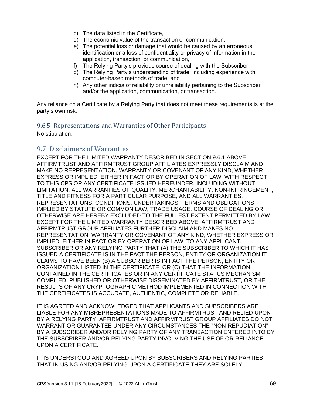- c) The data listed in the Certificate,
- d) The economic value of the transaction or communication,
- e) The potential loss or damage that would be caused by an erroneous identification or a loss of confidentiality or privacy of information in the application, transaction, or communication,
- f) The Relying Party's previous course of dealing with the Subscriber,
- g) The Relying Party's understanding of trade, including experience with computer-based methods of trade, and
- h) Any other indicia of reliability or unreliability pertaining to the Subscriber and/or the application, communication, or transaction.

Any reliance on a Certificate by a Relying Party that does not meet these requirements is at the party's own risk.

# 9.6.5 Representations and Warranties of Other Participants

No stipulation.

# 9.7 Disclaimers of Warranties

EXCEPT FOR THE LIMITED WARRANTY DESCRIBED IN SECTION 9.6.1 ABOVE, AFFIRMTRUST AND AFFIRMTRUST GROUP AFFILIATES EXPRESSLY DISCLAIM AND MAKE NO REPRESENTATION, WARRANTY OR COVENANT OF ANY KIND, WHETHER EXPRESS OR IMPLIED, EITHER IN FACT OR BY OPERATION OF LAW, WITH RESPECT TO THIS CPS OR ANY CERTIFICATE ISSUED HEREUNDER, INCLUDING WITHOUT LIMITATION, ALL WARRANTIES OF QUALITY, MERCHANTABILITY, NON-INFRINGEMENT, TITLE AND FITNESS FOR A PARTICULAR PURPOSE, AND ALL WARRANTIES, REPRESENTATIONS, CONDITIONS, UNDERTAKINGS, TERMS AND OBLIGATIONS IMPLIED BY STATUTE OR COMMON LAW, TRADE USAGE, COURSE OF DEALING OR OTHERWISE ARE HEREBY EXCLUDED TO THE FULLEST EXTENT PERMITTED BY LAW. EXCEPT FOR THE LIMITED WARRANTY DESCRIBED ABOVE, AFFIRMTRUST AND AFFIRMTRUST GROUP AFFILIATES FURTHER DISCLAIM AND MAKES NO REPRESENTATION, WARRANTY OR COVENANT OF ANY KIND, WHETHER EXPRESS OR IMPLIED, EITHER IN FACT OR BY OPERATION OF LAW, TO ANY APPLICANT, SUBSCRIBER OR ANY RELYING PARTY THAT (A) THE SUBSCRIBER TO WHICH IT HAS ISSUED A CERTIFICATE IS IN THE FACT THE PERSON, ENTITY OR ORGANIZATION IT CLAIMS TO HAVE BEEN (B) A SUBSCRIBER IS IN FACT THE PERSON, ENTITY OR ORGANIZATION LISTED IN THE CERTIFICATE, OR (C) THAT THE INFORMATION CONTAINED IN THE CERTIFICATES OR IN ANY CERTIFICATE STATUS MECHANISM COMPILED, PUBLISHED OR OTHERWISE DISSEMINATED BY AFFIRMTRUST, OR THE RESULTS OF ANY CRYPTOGRAPHIC METHOD IMPLEMENTED IN CONNECTION WITH THE CERTIFICATES IS ACCURATE, AUTHENTIC, COMPLETE OR RELIABLE.

IT IS AGREED AND ACKNOWLEDGED THAT APPLICANTS AND SUBSCRIBERS ARE LIABLE FOR ANY MISREPRESENTATIONS MADE TO AFFIRMTRUST AND RELIED UPON BY A RELYING PARTY. AFFIRMTRUST AND AFFIRMTRUST GROUP AFFILIATES DO NOT WARRANT OR GUARANTEE UNDER ANY CIRCUMSTANCES THE "NON-REPUDIATION" BY A SUBSCRIBER AND/OR RELYING PARTY OF ANY TRANSACTION ENTERED INTO BY THE SUBSCRIBER AND/OR RELYING PARTY INVOLVING THE USE OF OR RELIANCE UPON A CERTIFICATE.

IT IS UNDERSTOOD AND AGREED UPON BY SUBSCRIBERS AND RELYING PARTIES THAT IN USING AND/OR RELYING UPON A CERTIFICATE THEY ARE SOLELY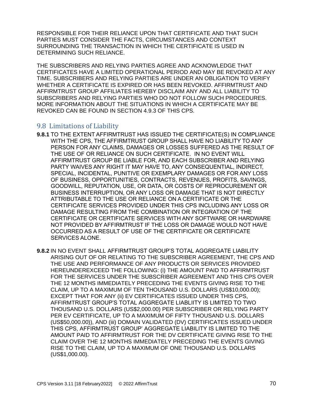RESPONSIBLE FOR THEIR RELIANCE UPON THAT CERTIFICATE AND THAT SUCH PARTIES MUST CONSIDER THE FACTS, CIRCUMSTANCES AND CONTEXT SURROUNDING THE TRANSACTION IN WHICH THE CERTIFICATE IS USED IN DETERMINING SUCH RELIANCE.

THE SUBSCRIBERS AND RELYING PARTIES AGREE AND ACKNOWLEDGE THAT CERTIFICATES HAVE A LIMITED OPERATIONAL PERIOD AND MAY BE REVOKED AT ANY TIME. SUBSCRIBERS AND RELYING PARTIES ARE UNDER AN OBLIGATION TO VERIFY WHETHER A CERTIFICATE IS EXPIRED OR HAS BEEN REVOKED. AFFIRMTRUST AND AFFIRMTRUST GROUP AFFILIATES HEREBY DISCLAIM ANY AND ALL LIABILITY TO SUBSCRIBERS AND RELYING PARTIES WHO DO NOT FOLLOW SUCH PROCEDURES. MORE INFORMATION ABOUT THE SITUATIONS IN WHICH A CERTIFICATE MAY BE REVOKED CAN BE FOUND IN SECTION 4.9.3 OF THIS CPS.

# 9.8 Limitations of Liability

- **9.8.1** TO THE EXTENT AFFIRMTRUST HAS ISSUED THE CERTIFICATE(S) IN COMPLIANCE WITH THE CPS, THE AFFIRMTRUST GROUP SHALL HAVE NO LIABILITY TO ANY PERSON FOR ANY CLAIMS, DAMAGES OR LOSSES SUFFERED AS THE RESULT OF THE USE OF OR RELIANCE ON SUCH CERTIFICATE. IN NO EVENT WILL AFFIRMTRUST GROUP BE LIABLE FOR, AND EACH SUBSCRIBER AND RELYING PARTY WAIVES ANY RIGHT IT MAY HAVE TO, ANY CONSEQUENTIAL, INDIRECT, SPECIAL, INCIDENTAL, PUNITIVE OR EXEMPLARY DAMAGES OR FOR ANY LOSS OF BUSINESS, OPPORTUNITIES, CONTRACTS, REVENUES, PROFITS, SAVINGS, GOODWILL, REPUTATION, USE, OR DATA, OR COSTS OF REPROCUREMENT OR BUSINESS INTERRUPTION, OR ANY LOSS OR DAMAGE THAT IS NOT DIRECTLY ATTRIBUTABLE TO THE USE OR RELIANCE ON A CERTIFICATE OR THE CERTIFICATE SERVICES PROVIDED UNDER THIS CPS INCLUDING ANY LOSS OR DAMAGE RESULTING FROM THE COMBINATION OR INTEGRATION OF THE CERTIFICATE OR CERTIFICATE SERVICES WITH ANY SOFTWARE OR HARDWARE NOT PROVIDED BY AFFIRMTRUST IF THE LOSS OR DAMAGE WOULD NOT HAVE OCCURRED AS A RESULT OF USE OF THE CERTIFICATE OR CERTIFICATE SERVICES ALONE.
- **9.8.2** IN NO EVENT SHALL AFFIRMTRUST GROUP'S TOTAL AGGREGATE LIABILITY ARISING OUT OF OR RELATING TO THE SUBSCRIBER AGREEMENT, THE CPS AND THE USE AND PERFORMANCE OF ANY PRODUCTS OR SERVICES PROVIDED HEREUNDEREXCEED THE FOLLOWING: (i) THE AMOUNT PAID TO AFFIRMTRUST FOR THE SERVICES UNDER THE SUBSCRIBER AGREEMENT AND THIS CPS OVER THE 12 MONTHS IMMEDIATELY PRECEDING THE EVENTS GIVING RISE TO THE CLAIM, UP TO A MAXIMUM OF TEN THOUSAND U.S. DOLLARS (US\$10,000.00); EXCEPT THAT FOR ANY (ii) EV CERTIFICATES ISSUED UNDER THIS CPS, AFFIRMTRUST GROUP'S TOTAL AGGREGATE LIABLIITY IS LIMITED TO TWO THOUSAND U.S. DOLLARS (US\$2,000.00) PER SUBSCRIBER OR RELYING PARTY PER EV CERTIFICATE, UP TO A MAXIMUM OF FIFTY THOUSAND U.S. DOLLARS (US\$50,000.00)), AND (iii) DOMAIN VALIDATED (DV) CERTIFICATES ISSUED UNDER THIS CPS, AFFIRMTRUST GROUP' AGGREGATE LIABILITY IS LIMITED TO THE AMOUNT PAID TO AFFIRMTRUST FOR THE DV CERTIFICATE GIVING RISE TO THE CLAIM OVER THE 12 MONTHS IMMEDIATELY PRECEDING THE EVENTS GIVING RISE TO THE CLAIM, UP TO A MAXIMUM OF ONE THOUSAND U.S. DOLLARS (US\$1,000.00).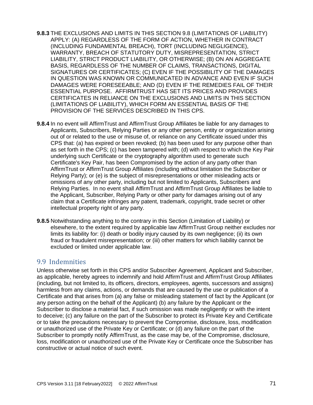- **9.8.3** THE EXCLUSIONS AND LIMITS IN THIS SECTION 9.8 (LIMITATIONS OF LIABILITY) APPLY: (A) REGARDLESS OF THE FORM OF ACTION, WHETHER IN CONTRACT (INCLUDING FUNDAMENTAL BREACH), TORT (INCLUDING NEGLIGENCE), WARRANTY, BREACH OF STATUTORY DUTY, MISREPRESENTATION, STRICT LIABILITY, STRICT PRODUCT LIABILITY, OR OTHERWISE; (B) ON AN AGGREGATE BASIS, REGARDLESS OF THE NUMBER OF CLAIMS, TRANSACTIONS, DIGITAL SIGNATURES OR CERTIFICATES; (C) EVEN IF THE POSSIBILITY OF THE DAMAGES IN QUESTION WAS KNOWN OR COMMUNICATED IN ADVANCE AND EVEN IF SUCH DAMAGES WERE FORESEEABLE; AND (D) EVEN IF THE REMEDIES FAIL OF THEIR ESSENTIAL PURPOSE. AFFIRMTRUST HAS SET ITS PRICES AND PROVIDES CERTIFICATES IN RELIANCE ON THE EXCLUSIONS AND LIMITS IN THIS SECTION (LIMITATIONS OF LIABILITY), WHICH FORM AN ESSENTIAL BASIS OF THE PROVISION OF THE SERVICES DESCRIBED IN THIS CPS.
- **9.8.4** In no event will AffirmTrust and AffirmTrust Group Affiliates be liable for any damages to Applicants, Subscribers, Relying Parties or any other person, entity or organization arising out of or related to the use or misuse of, or reliance on any Certificate issued under this CPS that: (a) has expired or been revoked; (b) has been used for any purpose other than as set forth in the CPS; (c) has been tampered with; (d) with respect to which the Key Pair underlying such Certificate or the cryptography algorithm used to generate such Certificate's Key Pair, has been Compromised by the action of any party other than AffirmTrust or AffirmTrust Group Affiliates (including without limitation the Subscriber or Relying Party); or (e) is the subject of misrepresentations or other misleading acts or omissions of any other party, including but not limited to Applicants, Subscribers and Relying Parties. In no event shall AffirmTrust and AffirmTrust Group Affiliates be liable to the Applicant, Subscriber, Relying Party or other party for damages arising out of any claim that a Certificate infringes any patent, trademark, copyright, trade secret or other intellectual property right of any party.
- **9.8.5** Notwithstanding anything to the contrary in this Section (Limitation of Liability) or elsewhere, to the extent required by applicable law AffirmTrust Group neither excludes nor limits its liability for: (i) death or bodily injury caused by its own negligence; (ii) its own fraud or fraudulent misrepresentation; or (iii) other matters for which liability cannot be excluded or limited under applicable law.

# 9.9 Indemnities

Unless otherwise set forth in this CPS and/or Subscriber Agreement, Applicant and Subscriber, as applicable, hereby agrees to indemnify and hold AffirmTrust and AffirmTrust Group Affiliates (including, but not limited to, its officers, directors, employees, agents, successors and assigns) harmless from any claims, actions, or demands that are caused by the use or publication of a Certificate and that arises from (a) any false or misleading statement of fact by the Applicant (or any person acting on the behalf of the Applicant) (b) any failure by the Applicant or the Subscriber to disclose a material fact, if such omission was made negligently or with the intent to deceive; (c) any failure on the part of the Subscriber to protect its Private Key and Certificate or to take the precautions necessary to prevent the Compromise, disclosure, loss, modification or unauthorized use of the Private Key or Certificate; or (d) any failure on the part of the Subscriber to promptly notify AffirmTrust, as the case may be, of the Compromise, disclosure, loss, modification or unauthorized use of the Private Key or Certificate once the Subscriber has constructive or actual notice of such event.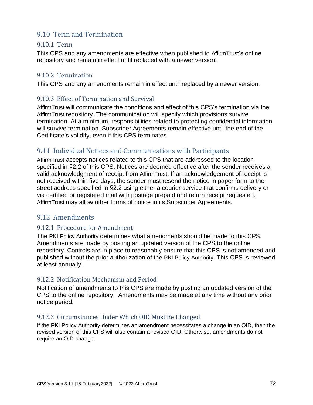# 9.10 Term and Termination

#### 9.10.1 Term

This CPS and any amendments are effective when published to AffirmTrust's online repository and remain in effect until replaced with a newer version.

## 9.10.2 Termination

This CPS and any amendments remain in effect until replaced by a newer version.

## 9.10.3 Effect of Termination and Survival

AffirmTrust will communicate the conditions and effect of this CPS's termination via the AffirmTrust repository. The communication will specify which provisions survive termination. At a minimum, responsibilities related to protecting confidential information will survive termination. Subscriber Agreements remain effective until the end of the Certificate's validity, even if this CPS terminates.

## 9.11 Individual Notices and Communications with Participants

AffirmTrust accepts notices related to this CPS that are addressed to the location specified in §2.2 of this CPS. Notices are deemed effective after the sender receives a valid acknowledgment of receipt from AffirmTrust. If an acknowledgement of receipt is not received within five days, the sender must resend the notice in paper form to the street address specified in §2.2 using either a courier service that confirms delivery or via certified or registered mail with postage prepaid and return receipt requested. AffirmTrust may allow other forms of notice in its Subscriber Agreements.

# 9.12 Amendments

#### 9.12.1 Procedure for Amendment

The PKI Policy Authority determines what amendments should be made to this CPS. Amendments are made by posting an updated version of the CPS to the online repository. Controls are in place to reasonably ensure that this CPS is not amended and published without the prior authorization of the PKI Policy Authority. This CPS is reviewed at least annually.

#### 9.12.2 Notification Mechanism and Period

Notification of amendments to this CPS are made by posting an updated version of the CPS to the online repository. Amendments may be made at any time without any prior notice period.

#### 9.12.3 Circumstances Under Which OID Must Be Changed

If the PKI Policy Authority determines an amendment necessitates a change in an OID, then the revised version of this CPS will also contain a revised OID. Otherwise, amendments do not require an OID change.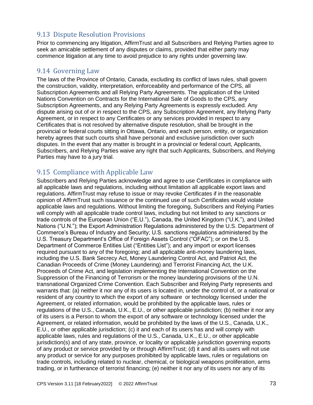# 9.13 Dispute Resolution Provisions

Prior to commencing any litigation, AffirmTrust and all Subscribers and Relying Parties agree to seek an amicable settlement of any disputes or claims, provided that either party may commence litigation at any time to avoid prejudice to any rights under governing law.

# 9.14 Governing Law

The laws of the Province of Ontario, Canada, excluding its conflict of laws rules, shall govern the construction, validity, interpretation, enforceability and performance of the CPS, all Subscription Agreements and all Relying Party Agreements. The application of the United Nations Convention on Contracts for the International Sale of Goods to the CPS, any Subscription Agreements, and any Relying Party Agreements is expressly excluded. Any dispute arising out of or in respect to the CPS, any Subscription Agreement, any Relying Party Agreement, or in respect to any Certificates or any services provided in respect to any Certificates that is not resolved by alternative dispute resolution, shall be brought in the provincial or federal courts sitting in Ottawa, Ontario, and each person, entity, or organization hereby agrees that such courts shall have personal and exclusive jurisdiction over such disputes. In the event that any matter is brought in a provincial or federal court, Applicants, Subscribers, and Relying Parties waive any right that such Applicants, Subscribers, and Relying Parties may have to a jury trial.

# 9.15 Compliance with Applicable Law

Subscribers and Relying Parties acknowledge and agree to use Certificates in compliance with all applicable laws and regulations, including without limitation all applicable export laws and regulations. AffirmTrust may refuse to issue or may revoke Certificates if in the reasonable opinion of AffirmTrust such issuance or the continued use of such Certificates would violate applicable laws and regulations. Without limiting the foregoing, Subscribers and Relying Parties will comply with all applicable trade control laws, including but not limited to any sanctions or trade controls of the European Union ("E.U."), Canada, the United Kingdom ("U.K."), and United Nations ("U.N."); the Export Administration Regulations administered by the U.S. Department of Commerce's Bureau of Industry and Security; U.S. sanctions regulations administered by the U.S. Treasury Department's Office of Foreign Assets Control ("OFAC"); or on the U.S. Department of Commerce Entities List ("Entities List"); and any import or export licenses required pursuant to any of the foregoing; and all applicable anti-money laundering laws, including the U.S. Bank Secrecy Act, Money Laundering Control Act, and Patriot Act, the Canadian Proceeds of Crime (Money Laundering) and Terrorist Financing Act, the U.K. Proceeds of Crime Act, and legislation implementing the International Convention on the Suppression of the Financing of Terrorism or the money laundering provisions of the U.N. transnational Organized Crime Convention. Each Subscriber and Relying Party represents and warrants that: (a) neither it nor any of its users is located in, under the control of, or a national or resident of any country to which the export of any software or technology licensed under the Agreement, or related information, would be prohibited by the applicable laws, rules or regulations of the U.S., Canada, U.K., E.U., or other applicable jurisdiction; (b) neither it nor any of its users is a Person to whom the export of any software or technology licensed under the Agreement, or related information, would be prohibited by the laws of the U.S., Canada, U.K., E.U., or other applicable jurisdiction; (c) it and each of its users has and will comply with applicable laws, rules and regulations of the U.S., Canada, U.K., E.U., or other applicable jurisdiction(s) and of any state, province, or locality or applicable jurisdiction governing exports of any product or service provided by or through AffirmTrust; (d) it and all its users will not use any product or service for any purposes prohibited by applicable laws, rules or regulations on trade controls, including related to nuclear, chemical, or biological weapons proliferation, arms trading, or in furtherance of terrorist financing; (e) neither it nor any of its users nor any of its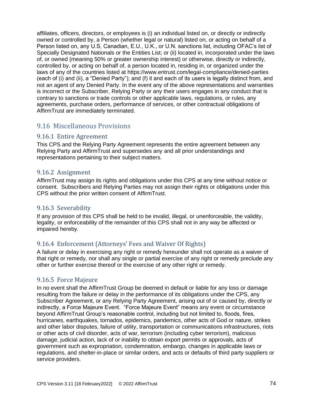affiliates, officers, directors, or employees is (i) an individual listed on, or directly or indirectly owned or controlled by, a Person (whether legal or natural) listed on, or acting on behalf of a Person listed on, any U.S, Canadian, E.U., U.K., or U.N. sanctions list, including OFAC's list of Specially Designated Nationals or the Entities List; or (ii) located in, incorporated under the laws of, or owned (meaning 50% or greater ownership interest) or otherwise, directly or indirectly, controlled by, or acting on behalf of, a person located in, residing in, or organized under the laws of any of the countries listed at https://www.entrust.com/legal-compliance/denied-parties (each of (i) and (ii), a "Denied Party"); and (f) it and each of its users is legally distinct from, and not an agent of any Denied Party. In the event any of the above representations and warranties is incorrect or the Subscriber, Relying Party or any their users engages in any conduct that is contrary to sanctions or trade controls or other applicable laws, regulations, or rules, any agreements, purchase orders, performance of services, or other contractual obligations of AffirmTrust are immediately terminated.

# 9.16 Miscellaneous Provisions

## 9.16.1 Entire Agreement

This CPS and the Relying Party Agreement represents the entire agreement between any Relying Party and AffirmTrust and supersedes any and all prior understandings and representations pertaining to their subject matters.

#### 9.16.2 Assignment

AffirmTrust may assign its rights and obligations under this CPS at any time without notice or consent. Subscribers and Relying Parties may not assign their rights or obligations under this CPS without the prior written consent of AffirmTrust.

## 9.16.3 Severability

If any provision of this CPS shall be held to be invalid, illegal, or unenforceable, the validity, legality, or enforceability of the remainder of this CPS shall not in any way be affected or impaired hereby.

# 9.16.4 Enforcement (Attorneys' Fees and Waiver Of Rights)

A failure or delay in exercising any right or remedy hereunder shall not operate as a waiver of that right or remedy, nor shall any single or partial exercise of any right or remedy preclude any other or further exercise thereof or the exercise of any other right or remedy.

## 9.16.5 Force Majeure

In no event shall the AffirmTrust Group be deemed in default or liable for any loss or damage resulting from the failure or delay in the performance of its obligations under the CPS, any Subscriber Agreement, or any Relying Party Agreement, arising out of or caused by, directly or indirectly, a Force Majeure Event. "Force Majeure Event" means any event or circumstance beyond AffirmTrust Group's reasonable control, including but not limited to, floods, fires, hurricanes, earthquakes, tornados, epidemics, pandemics, other acts of God or nature, strikes and other labor disputes, failure of utility, transportation or communications infrastructures, riots or other acts of civil disorder, acts of war, terrorism (including cyber terrorism), malicious damage, judicial action, lack of or inability to obtain export permits or approvals, acts of government such as expropriation, condemnation, embargo, changes in applicable laws or regulations, and shelter-in-place or similar orders, and acts or defaults of third party suppliers or service providers.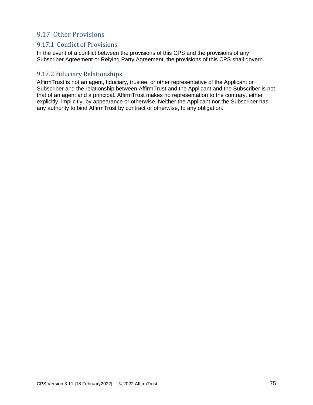# 9.17 Other Provisions

## 9.17.1 Conflict of Provisions

In the event of a conflict between the provisions of this CPS and the provisions of any Subscriber Agreement or Relying Party Agreement, the provisions of this CPS shall govern.

## 9.17.2 Fiduciary Relationships

AffirmTrust is not an agent, fiduciary, trustee, or other representative of the Applicant or Subscriber and the relationship between AffirmTrust and the Applicant and the Subscriber is not that of an agent and a principal. AffirmTrust makes no representation to the contrary, either explicitly, implicitly, by appearance or otherwise. Neither the Applicant nor the Subscriber has any authority to bind AffirmTrust by contract or otherwise, to any obligation.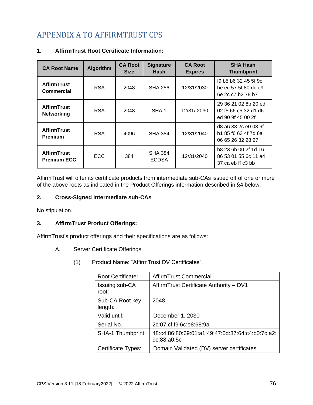# APPENDIX A TO AFFIRMTRUST CPS

| <b>CA Root Name</b>                      | <b>Algorithm</b> | <b>CA Root</b><br><b>Size</b> | <b>Signature</b><br>Hash       | <b>CA Root</b><br><b>Expires</b> | <b>SHA Hash</b><br><b>Thumbprint</b>                              |
|------------------------------------------|------------------|-------------------------------|--------------------------------|----------------------------------|-------------------------------------------------------------------|
| <b>AffirmTrust</b><br><b>Commercial</b>  | <b>RSA</b>       | 2048                          | <b>SHA 256</b>                 | 12/31/2030                       | f9 b5 b6 32 45 5f 9c<br>be ec 57 5f 80 dc e9<br>6e 2c c7 b2 78 b7 |
| <b>AffirmTrust</b><br><b>Networking</b>  | <b>RSA</b>       | 2048                          | SHA <sub>1</sub>               | 12/31/2030                       | 29 36 21 02 8b 20 ed<br>02 f5 66 c5 32 d1 d6<br>ed 90 9f 45 00 2f |
| <b>AffirmTrust</b><br><b>Premium</b>     | <b>RSA</b>       | 4096                          | <b>SHA 384</b>                 | 12/31/2040                       | d8 a6 33 2c e0 03 6f<br>b1 85 f6 63 4f 7d 6a<br>06 65 26 32 28 27 |
| <b>AffirmTrust</b><br><b>Premium ECC</b> | ECC.             | 384                           | <b>SHA 384</b><br><b>ECDSA</b> | 12/31/2040                       | b8 23 6b 00 2f 1d 16<br>86 53 01 55 6c 11 a4<br>37 ca eb ff c3 bb |

#### **1. AffirmTrust Root Certificate Information:**

AffirmTrust will offer its certificate products from intermediate sub-CAs issued off of one or more of the above roots as indicated in the Product Offerings information described in §4 below.

#### **2. Cross-Signed Intermediate sub-CAs**

No stipulation.

#### **3. AffirmTrust Product Offerings:**

AffirmTrust's product offerings and their specifications are as follows:

- A. Server Certificate Offerings
	- (1) Product Name: "AffirmTrust DV Certificates".

| <b>Root Certificate:</b>   | AffirmTrust Commercial                                          |
|----------------------------|-----------------------------------------------------------------|
| Issuing sub-CA<br>root:    | Affirm Trust Certificate Authority - DV1                        |
| Sub-CA Root key<br>length: | 2048                                                            |
| Valid until:               | December 1, 2030                                                |
| Serial No.:                | 2c:07:cf:f9:6c:e8:68:9a                                         |
| <b>SHA-1 Thumbprint:</b>   | 48:c4:86:80:69:01:a1:49:47:0d:37:64:c4:b0:7c:a2:<br>9c:88:a0:5c |
| Certificate Types:         | Domain Validated (DV) server certificates                       |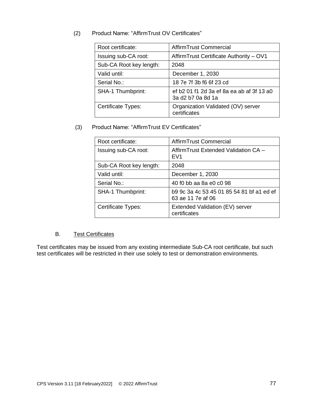#### (2) Product Name: "AffirmTrust OV Certificates"

| Root certificate:         | AffirmTrust Commercial                                         |
|---------------------------|----------------------------------------------------------------|
| Issuing sub-CA root:      | Affirm Trust Certificate Authority - OV1                       |
| Sub-CA Root key length:   | 2048                                                           |
| Valid until:              | December 1, 2030                                               |
| Serial No.:               | 18 7e 7f 3b f6 6f 23 cd                                        |
| <b>SHA-1 Thumbprint:</b>  | ef b2 01 f1 2d 3a ef 8a ea ab af 3f 13 a0<br>3a d2 b7 0a 8d 1a |
| <b>Certificate Types:</b> | Organization Validated (OV) server<br>certificates             |

#### (3) Product Name: "AffirmTrust EV Certificates"

| Root certificate:        | AffirmTrust Commercial                                         |
|--------------------------|----------------------------------------------------------------|
| Issuing sub-CA root:     | AffirmTrust Extended Validation CA -<br>EV <sub>1</sub>        |
| Sub-CA Root key length:  | 2048                                                           |
| Valid until:             | December 1, 2030                                               |
| Serial No.:              | 40 f0 bb aa 8a e0 c0 98                                        |
| <b>SHA-1 Thumbprint:</b> | b9 9c 3a 4c 53 45 01 85 54 81 bf a1 ed ef<br>63 ae 11 7e af 06 |
| Certificate Types:       | Extended Validation (EV) server<br>certificates                |

#### B. Test Certificates

Test certificates may be issued from any existing intermediate Sub-CA root certificate, but such test certificates will be restricted in their use solely to test or demonstration environments.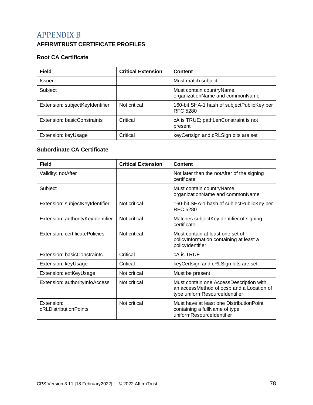# APPENDIX B

# **AFFIRMTRUST CERTIFICATE PROFILES**

#### **Root CA Certificate**

| <b>Field</b>                    | <b>Critical Extension</b> | Content                                                       |
|---------------------------------|---------------------------|---------------------------------------------------------------|
| <b>Issuer</b>                   |                           | Must match subject                                            |
| Subject                         |                           | Must contain countryName,<br>organizationName and commonName  |
| Extension: subjectKeyIdentifier | Not critical              | 160-bit SHA-1 hash of subjectPublicKey per<br><b>RFC 5280</b> |
| Extension: basicConstraints     | Critical                  | cA is TRUE; pathLenConstraint is not<br>present               |
| Extension: keyUsage             | Critical                  | keyCertsign and cRLSign bits are set                          |

#### **Subordinate CA Certificate**

| Field                               | <b>Critical Extension</b> | Content                                                                                                                |
|-------------------------------------|---------------------------|------------------------------------------------------------------------------------------------------------------------|
| Validity: notAfter                  |                           | Not later than the notAfter of the signing<br>certificate                                                              |
| Subject                             |                           | Must contain countryName,<br>organizationName and commonName                                                           |
| Extension: subjectKeyIdentifier     | Not critical              | 160-bit SHA-1 hash of subjectPublicKey per<br>RFC 5280                                                                 |
| Extension: authorityKeyIdentifier   | Not critical              | Matches subjectKeyIdentifier of signing<br>certificate                                                                 |
| Extension: certificatePolicies      | Not critical              | Must contain at least one set of<br>policyInformation containing at least a<br>policyIdentifier                        |
| Extension: basicConstraints         | Critical                  | cA is TRUE                                                                                                             |
| Extension: keyUsage                 | Critical                  | keyCertsign and cRLSign bits are set                                                                                   |
| Extension: extKeyUsage              | Not critical              | Must be present                                                                                                        |
| Extension: authorityInfoAccess      | Not critical              | Must contain one AccessDescription with<br>an accessMethod of ocsp and a Location of<br>type uniformResourceIdentifier |
| Extension:<br>cRLDistributionPoints | Not critical              | Must have at least one Distribution Point<br>containing a fullName of type<br>uniformResourceIdentifier                |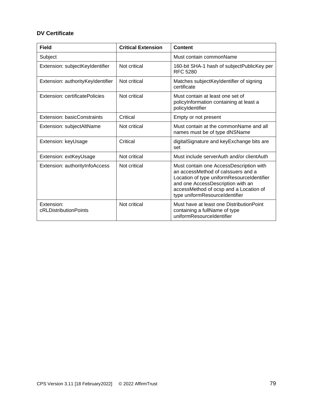#### **DV Certificate**

| <b>Field</b>                        | <b>Critical Extension</b> | Content                                                                                                                                                                                                                                      |
|-------------------------------------|---------------------------|----------------------------------------------------------------------------------------------------------------------------------------------------------------------------------------------------------------------------------------------|
| Subject                             |                           | Must contain commonName                                                                                                                                                                                                                      |
| Extension: subjectKeyIdentifier     | Not critical              | 160-bit SHA-1 hash of subjectPublicKey per<br>RFC 5280                                                                                                                                                                                       |
| Extension: authorityKeyIdentifier   | Not critical              | Matches subjectKeyIdentifier of signing<br>certificate                                                                                                                                                                                       |
| Extension: certificatePolicies      | Not critical              | Must contain at least one set of<br>policyInformation containing at least a<br>policyIdentifier                                                                                                                                              |
| Extension: basicConstraints         | Critical                  | Empty or not present                                                                                                                                                                                                                         |
| Extension: subjectAltName           | Not critical              | Must contain at the commonName and all<br>names must be of type dNSName                                                                                                                                                                      |
| Extension: keyUsage                 | Critical                  | digitalSignature and keyExchange bits are<br>set                                                                                                                                                                                             |
| Extension: extKeyUsage              | Not critical              | Must include serverAuth and/or clientAuth                                                                                                                                                                                                    |
| Extension: authorityInfoAccess      | Not critical              | Must contain one AccessDescription with<br>an accessMethod of calssuers and a<br>Location of type uniformResourceIdentifier<br>and one AccessDescription with an<br>accessMethod of ocsp and a Location of<br>type uniformResourceIdentifier |
| Extension:<br>cRLDistributionPoints | Not critical              | Must have at least one Distribution Point<br>containing a fullName of type<br>uniformResourceIdentifier                                                                                                                                      |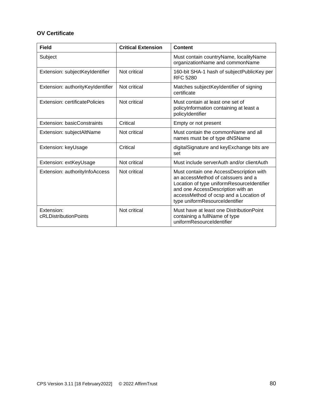### **OV Certificate**

| <b>Field</b>                        | <b>Critical Extension</b> | <b>Content</b>                                                                                                                                                                                                                               |
|-------------------------------------|---------------------------|----------------------------------------------------------------------------------------------------------------------------------------------------------------------------------------------------------------------------------------------|
| Subject                             |                           | Must contain countryName, localityName<br>organizationName and commonName                                                                                                                                                                    |
| Extension: subjectKeyIdentifier     | Not critical              | 160-bit SHA-1 hash of subjectPublicKey per<br><b>RFC 5280</b>                                                                                                                                                                                |
| Extension: authorityKeyIdentifier   | Not critical              | Matches subjectKeyIdentifier of signing<br>certificate                                                                                                                                                                                       |
| Extension: certificatePolicies      | Not critical              | Must contain at least one set of<br>policyInformation containing at least a<br>policyIdentifier                                                                                                                                              |
| Extension: basicConstraints         | Critical                  | Empty or not present                                                                                                                                                                                                                         |
| Extension: subjectAltName           | Not critical              | Must contain the commonName and all<br>names must be of type dNSName                                                                                                                                                                         |
| Extension: keyUsage                 | Critical                  | digitalSignature and keyExchange bits are<br>set                                                                                                                                                                                             |
| Extension: extKeyUsage              | Not critical              | Must include serverAuth and/or clientAuth                                                                                                                                                                                                    |
| Extension: authorityInfoAccess      | Not critical              | Must contain one AccessDescription with<br>an accessMethod of calssuers and a<br>Location of type uniformResourceIdentifier<br>and one AccessDescription with an<br>accessMethod of ocsp and a Location of<br>type uniformResourceIdentifier |
| Extension:<br>cRLDistributionPoints | Not critical              | Must have at least one DistributionPoint<br>containing a fullName of type<br>uniformResourceIdentifier                                                                                                                                       |